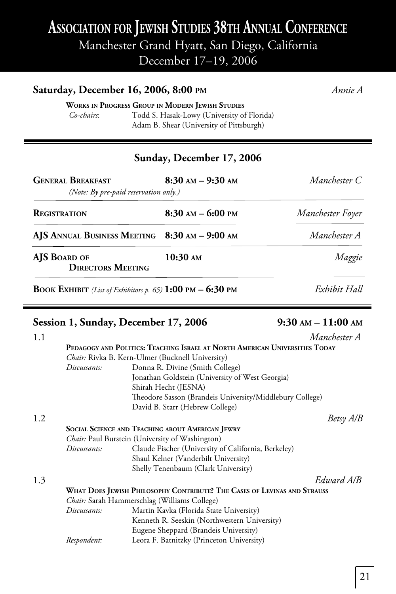## **ASSOCIATION FOR JEWISH STUDIES 38TH ANNUAL CONFERENCE**

Manchester Grand Hyatt, San Diego, California

December 17–19, 2006

| Saturday, December 16, 2006, 8:00 PM                                      | Annie A                                                                                |                  |
|---------------------------------------------------------------------------|----------------------------------------------------------------------------------------|------------------|
| <b>WORKS IN PROGRESS GROUP IN MODERN JEWISH STUDIES</b><br>Co-chairs:     | Todd S. Hasak-Lowy (University of Florida)<br>Adam B. Shear (University of Pittsburgh) |                  |
|                                                                           | Sunday, December 17, 2006                                                              |                  |
| <b>GENERAL BREAKFAST</b><br>(Note: By pre-paid reservation only.)         | $8:30$ am $-9:30$ am                                                                   | Manchester C     |
| <b>REGISTRATION</b>                                                       | $8:30$ AM $-$ 6:00 PM                                                                  | Manchester Foyer |
| AJS ANNUAL BUSINESS MEETING 8:30 AM - 9:00 AM                             |                                                                                        | Manchester A     |
| AIS BOARD OF<br><b>DIRECTORS MEETING</b>                                  | $10:30 \text{ AM}$                                                                     | Maggie           |
| <b>BOOK EXHIBIT</b> (List of Exhibitors p. 65) <b>1:00</b> PM $-$ 6:30 PM |                                                                                        | Exhibit Hall     |

## Session 1, Sunday, December 17, 2006 9:30 AM - 11:00 AM

| 1.1 |              | Manchester A                                                                |
|-----|--------------|-----------------------------------------------------------------------------|
|     |              | PEDAGOGY AND POLITICS: TEACHING ISRAEL AT NORTH AMERICAN UNIVERSITIES TODAY |
|     |              | <i>Chair:</i> Rivka B. Kern-Ulmer (Bucknell University)                     |
|     | Discussants: | Donna R. Divine (Smith College)                                             |
|     |              | Jonathan Goldstein (University of West Georgia)                             |
|     |              | Shirah Hecht (JESNA)                                                        |
|     |              | Theodore Sasson (Brandeis University/Middlebury College)                    |
|     |              | David B. Starr (Hebrew College)                                             |
| 1.2 |              | Betsy A/B                                                                   |
|     |              | <b>SOCIAL SCIENCE AND TEACHING ABOUT AMERICAN JEWRY</b>                     |
|     |              | <i>Chair:</i> Paul Burstein (University of Washington)                      |
|     | Discussants: | Claude Fischer (University of California, Berkeley)                         |
|     |              | Shaul Kelner (Vanderbilt University)                                        |
|     |              | Shelly Tenenbaum (Clark University)                                         |
| 1.3 |              | Edward A/B                                                                  |
|     |              | WHAT DOES JEWISH PHILOSOPHY CONTRIBUTE? THE CASES OF LEVINAS AND STRAUSS    |
|     |              | Chair: Sarah Hammerschlag (Williams College)                                |
|     | Discussants: | Martin Kavka (Florida State University)                                     |
|     |              | Kenneth R. Seeskin (Northwestern University)                                |
|     |              | Eugene Sheppard (Brandeis University)                                       |
|     | Respondent:  | Leora F. Batnitzky (Princeton University)                                   |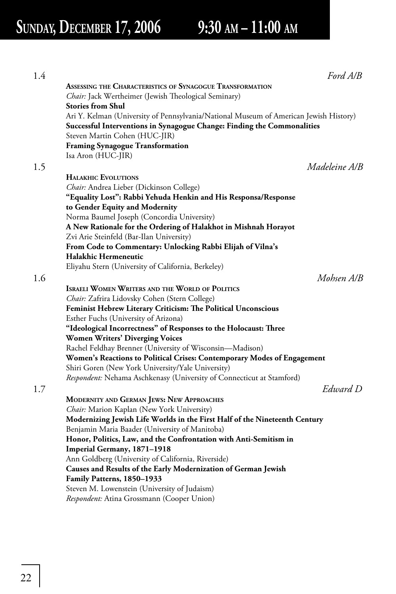| 1.4 |                                                                                       | Ford A/B      |
|-----|---------------------------------------------------------------------------------------|---------------|
|     | ASSESSING THE CHARACTERISTICS OF SYNAGOGUE TRANSFORMATION                             |               |
|     | Chair: Jack Wertheimer (Jewish Theological Seminary)                                  |               |
|     | <b>Stories from Shul</b>                                                              |               |
|     | Ari Y. Kelman (University of Pennsylvania/National Museum of American Jewish History) |               |
|     | Successful Interventions in Synagogue Change: Finding the Commonalities               |               |
|     | Steven Martin Cohen (HUC-JIR)                                                         |               |
|     | <b>Framing Synagogue Transformation</b>                                               |               |
|     | Isa Aron (HUC-JIR)                                                                    |               |
| 1.5 |                                                                                       | Madeleine A/B |
|     | <b>HALAKHIC EVOLUTIONS</b>                                                            |               |
|     | Chair: Andrea Lieber (Dickinson College)                                              |               |
|     | "Equality Lost": Rabbi Yehuda Henkin and His Responsa/Response                        |               |
|     | to Gender Equity and Modernity                                                        |               |
|     | Norma Baumel Joseph (Concordia University)                                            |               |
|     | A New Rationale for the Ordering of Halakhot in Mishnah Horayot                       |               |
|     | Zvi Arie Steinfeld (Bar-Ilan University)                                              |               |
|     | From Code to Commentary: Unlocking Rabbi Elijah of Vilna's                            |               |
|     | Halakhic Hermeneutic                                                                  |               |
|     | Eliyahu Stern (University of California, Berkeley)                                    |               |
| 1.6 |                                                                                       | Mohsen A/B    |
|     | <b>ISRAELI WOMEN WRITERS AND THE WORLD OF POLITICS</b>                                |               |
|     | Chair: Zafrira Lidovsky Cohen (Stern College)                                         |               |
|     | Feminist Hebrew Literary Criticism: The Political Unconscious                         |               |
|     | Esther Fuchs (University of Arizona)                                                  |               |
|     | "Ideological Incorrectness" of Responses to the Holocaust: Three                      |               |
|     | <b>Women Writers' Diverging Voices</b>                                                |               |
|     | Rachel Feldhay Brenner (University of Wisconsin-Madison)                              |               |
|     | Women's Reactions to Political Crises: Contemporary Modes of Engagement               |               |
|     | Shiri Goren (New York University/Yale University)                                     |               |
|     | Respondent: Nehama Aschkenasy (University of Connecticut at Stamford)                 |               |
| 1.7 |                                                                                       | Edward D      |
|     | MODERNITY AND GERMAN JEWS: NEW APPROACHES                                             |               |
|     | Chair: Marion Kaplan (New York University)                                            |               |
|     | Modernizing Jewish Life Worlds in the First Half of the Nineteenth Century            |               |
|     | Benjamin Maria Baader (University of Manitoba)                                        |               |
|     | Honor, Politics, Law, and the Confrontation with Anti-Semitism in                     |               |
|     | Imperial Germany, 1871-1918                                                           |               |
|     | Ann Goldberg (University of California, Riverside)                                    |               |
|     | Causes and Results of the Early Modernization of German Jewish                        |               |
|     | Family Patterns, 1850-1933                                                            |               |
|     | Steven M. Lowenstein (University of Judaism)                                          |               |
|     | <i>Respondent:</i> Atina Grossmann (Cooper Union)                                     |               |
|     |                                                                                       |               |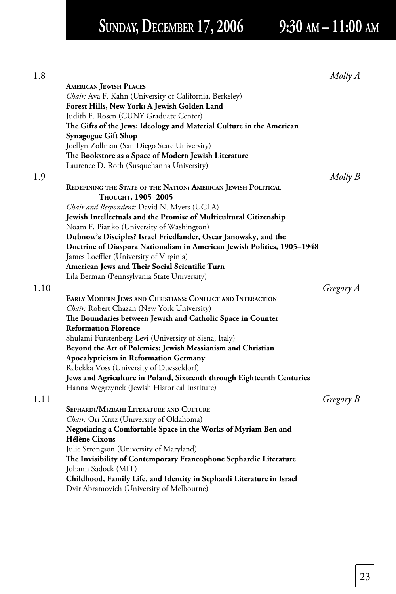# **SUNDAY, DECEMBER 17, 2006 9:30 AM – 11:00 AM**

| 1.8  |                                                                         | Molly A   |
|------|-------------------------------------------------------------------------|-----------|
|      | <b>AMERICAN JEWISH PLACES</b>                                           |           |
|      | Chair: Ava F. Kahn (University of California, Berkeley)                 |           |
|      | Forest Hills, New York: A Jewish Golden Land                            |           |
|      | Judith F. Rosen (CUNY Graduate Center)                                  |           |
|      | The Gifts of the Jews: Ideology and Material Culture in the American    |           |
|      | Synagogue Gift Shop                                                     |           |
|      | Joellyn Zollman (San Diego State University)                            |           |
|      | The Bookstore as a Space of Modern Jewish Literature                    |           |
|      | Laurence D. Roth (Susquehanna University)                               |           |
| 1.9  |                                                                         | Molly B   |
|      | REDEFINING THE STATE OF THE NATION: AMERICAN JEWISH POLITICAL           |           |
|      | Тноиснт, 1905–2005                                                      |           |
|      | Chair and Respondent: David N. Myers (UCLA)                             |           |
|      | Jewish Intellectuals and the Promise of Multicultural Citizenship       |           |
|      | Noam F. Pianko (University of Washington)                               |           |
|      | Dubnow's Disciples? Israel Friedlander, Oscar Janowsky, and the         |           |
|      | Doctrine of Diaspora Nationalism in American Jewish Politics, 1905-1948 |           |
|      | James Loeffler (University of Virginia)                                 |           |
|      | American Jews and Their Social Scientific Turn                          |           |
|      | Lila Berman (Pennsylvania State University)                             |           |
| 1.10 |                                                                         | Gregory A |
|      | EARLY MODERN JEWS AND CHRISTIANS: CONFLICT AND INTERACTION              |           |
|      | Chair: Robert Chazan (New York University)                              |           |
|      | The Boundaries between Jewish and Catholic Space in Counter             |           |
|      | <b>Reformation Florence</b>                                             |           |
|      | Shulami Furstenberg-Levi (University of Siena, Italy)                   |           |
|      | Beyond the Art of Polemics: Jewish Messianism and Christian             |           |
|      | <b>Apocalypticism in Reformation Germany</b>                            |           |
|      | Rebekka Voss (University of Duesseldorf)                                |           |
|      | Jews and Agriculture in Poland, Sixteenth through Eighteenth Centuries  |           |
|      | Hanna Węgrzynek (Jewish Historical Institute)                           |           |
| 1.11 |                                                                         | Gregory B |
|      | SEPHARDI/MIZRAHI LITERATURE AND CULTURE                                 |           |
|      | Chair: Ori Kritz (University of Oklahoma)                               |           |
|      | Negotiating a Comfortable Space in the Works of Myriam Ben and          |           |
|      | <b>Hélène Cixous</b>                                                    |           |
|      | Julie Strongson (University of Maryland)                                |           |
|      | The Invisibility of Contemporary Francophone Sephardic Literature       |           |
|      | Johann Sadock (MIT)                                                     |           |
|      | Childhood, Family Life, and Identity in Sephardi Literature in Israel   |           |
|      | Dvir Abramovich (University of Melbourne)                               |           |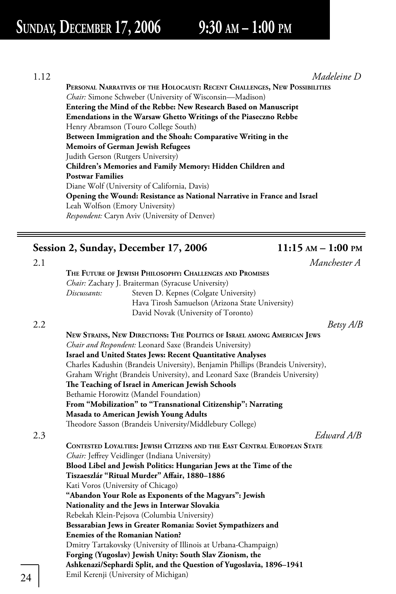1.12 *Madeleine D*  **PERSONAL NARRATIVES OF THE HOLOCAUST: RECENT CHALLENGES, NEW POSSIBILITIES** *Chair:* Simone Schweber (University of Wisconsin—Madison)  **Entering the Mind of the Rebbe: New Research Based on Manuscript Emendations in the Warsaw Ghetto Writings of the Piaseczno Rebbe** Henry Abramson (Touro College South)  **Between Immigration and the Shoah: Comparative Writing in the Memoirs of German Jewish Refugees** Judith Gerson (Rutgers University)  **Children's Memories and Family Memory: Hidden Children and Postwar Families** Diane Wolf (University of California, Davis)  **Opening the Wound: Resistance as National Narrative in France and Israel** Leah Wolfson (Emory University) *Respondent:* Caryn Aviv (University of Denver)

## Session 2, Sunday, December 17, 2006 11:15 AM - 1:00 PM

|              | Manchester A                                                                     |
|--------------|----------------------------------------------------------------------------------|
|              | THE FUTURE OF JEWISH PHILOSOPHY: CHALLENGES AND PROMISES                         |
|              | Chair: Zachary J. Braiterman (Syracuse University)                               |
| Discussants: | Steven D. Kepnes (Colgate University)                                            |
|              | Hava Tirosh Samuelson (Arizona State University)                                 |
|              | David Novak (University of Toronto)                                              |
|              | Betsy A/B                                                                        |
|              | NEW STRAINS, NEW DIRECTIONS: THE POLITICS OF ISRAEL AMONG AMERICAN JEWS          |
|              | <i>Chair and Respondent:</i> Leonard Saxe (Brandeis University)                  |
|              | Israel and United States Jews: Recent Quantitative Analyses                      |
|              | Charles Kadushin (Brandeis University), Benjamin Phillips (Brandeis University), |
|              | Graham Wright (Brandeis University), and Leonard Saxe (Brandeis University)      |
|              | The Teaching of Israel in American Jewish Schools                                |
|              | Bethamie Horowitz (Mandel Foundation)                                            |
|              | From "Mobilization" to "Transnational Citizenship": Narrating                    |
|              | Masada to American Jewish Young Adults                                           |
|              | Theodore Sasson (Brandeis University/Middlebury College)                         |
|              | Edward A/R                                                                       |
|              | CONTESTED LOYALTIES: JEWISH CITIZENS AND THE EAST CENTRAL EUROPEAN STATE         |
|              | Chair: Jeffrey Veidlinger (Indiana University)                                   |
|              | Blood Libel and Jewish Politics: Hungarian Jews at the Time of the               |
|              | Tiszaeszlár "Ritual Murder" Affair, 1880-1886                                    |
|              | Kati Voros (University of Chicago)                                               |
|              | "Abandon Your Role as Exponents of the Magyars": Jewish                          |
|              | Nationality and the Jews in Interwar Slovakia                                    |
|              | Rebekah Klein-Pejsova (Columbia University)                                      |
|              | Bessarabian Jews in Greater Romania: Soviet Sympathizers and                     |
|              | <b>Enemies of the Romanian Nation?</b>                                           |
|              | Dmitry Tartakovsky (University of Illinois at Urbana-Champaign)                  |
|              | Forging (Yugoslav) Jewish Unity: South Slav Zionism, the                         |
|              | Ashkenazi/Sephardi Split, and the Question of Yugoslavia, 1896-1941              |
|              | Emil Kerenji (University of Michigan)                                            |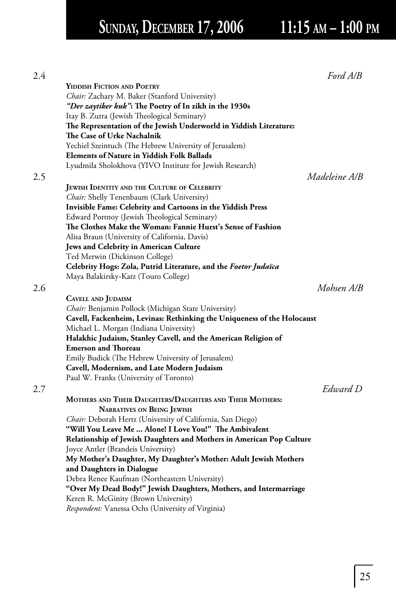# SUNDAY, DECEMBER 17, 2006 11:15 AM - 1:00 PM

|                                                                         | Ford A/B      |
|-------------------------------------------------------------------------|---------------|
| <b>YIDDISH FICTION AND POETRY</b>                                       |               |
| Chair: Zachary M. Baker (Stanford University)                           |               |
| "Der zaytiker kuk": The Poetry of In zikh in the 1930s                  |               |
| Itay B. Zutra (Jewish Theological Seminary)                             |               |
| The Representation of the Jewish Underworld in Yiddish Literature:      |               |
| The Case of Urke Nachalnik                                              |               |
| Yechiel Szeintuch (The Hebrew University of Jerusalem)                  |               |
| <b>Elements of Nature in Yiddish Folk Ballads</b>                       |               |
| Lyudmila Sholokhova (YIVO Institute for Jewish Research)                |               |
|                                                                         | Madeleine A/B |
| JEWISH IDENTITY AND THE CULTURE OF CELEBRITY                            |               |
| Chair: Shelly Tenenbaum (Clark University)                              |               |
| Invisible Fame: Celebrity and Cartoons in the Yiddish Press             |               |
| Edward Portnoy (Jewish Theological Seminary)                            |               |
| The Clothes Make the Woman: Fannie Hurst's Sense of Fashion             |               |
| Alisa Braun (University of California, Davis)                           |               |
| Jews and Celebrity in American Culture                                  |               |
| Ted Merwin (Dickinson College)                                          |               |
| Celebrity Hogs: Zola, Putrid Literature, and the Foetor Judaïca         |               |
| Maya Balakirsky-Katz (Touro College)                                    |               |
|                                                                         | Mohsen A/B    |
| CAVELL AND JUDAISM                                                      |               |
| Chair: Benjamin Pollock (Michigan State University)                     |               |
| Cavell, Fackenheim, Levinas: Rethinking the Uniqueness of the Holocaust |               |
| Michael L. Morgan (Indiana University)                                  |               |
| Halakhic Judaism, Stanley Cavell, and the American Religion of          |               |
| <b>Emerson and Thoreau</b>                                              |               |
| Emily Budick (The Hebrew University of Jerusalem)                       |               |
| Cavell, Modernism, and Late Modern Judaism                              |               |
| Paul W. Franks (University of Toronto)                                  |               |
|                                                                         | Edward D      |
| MOTHERS AND THEIR DAUGHTERS/DAUGHTERS AND THEIR MOTHERS:                |               |
| <b>NARRATIVES ON BEING JEWISH</b>                                       |               |
| Chair: Deborah Hertz (University of California, San Diego)              |               |
| "Will You Leave Me  Alone! I Love You!" The Ambivalent                  |               |
| Relationship of Jewish Daughters and Mothers in American Pop Culture    |               |
| Joyce Antler (Brandeis University)                                      |               |
| My Mother's Daughter, My Daughter's Mother: Adult Jewish Mothers        |               |
| and Daughters in Dialogue                                               |               |
| Debra Renee Kaufman (Northeastern University)                           |               |
| "Over My Dead Body!" Jewish Daughters, Mothers, and Intermarriage       |               |
| Keren R. McGinity (Brown University)                                    |               |
| Respondent: Vanessa Ochs (University of Virginia)                       |               |
|                                                                         |               |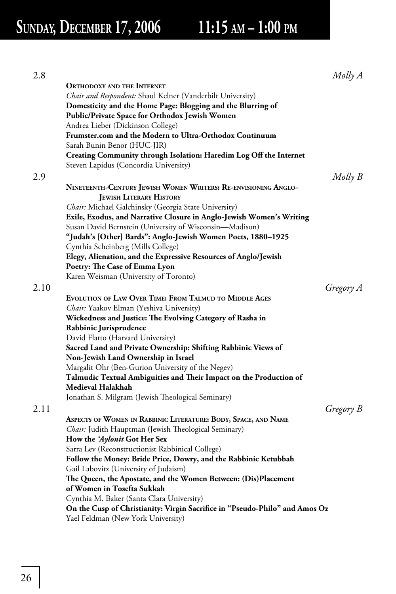# SUNDAY, DECEMBER 17, 2006 11:15 AM - 1:00 PM

| 2.8  |                                                                             | Molly A   |
|------|-----------------------------------------------------------------------------|-----------|
|      | <b>ORTHODOXY AND THE INTERNET</b>                                           |           |
|      | Chair and Respondent: Shaul Kelner (Vanderbilt University)                  |           |
|      | Domesticity and the Home Page: Blogging and the Blurring of                 |           |
|      | <b>Public/Private Space for Orthodox Jewish Women</b>                       |           |
|      | Andrea Lieber (Dickinson College)                                           |           |
|      | Frumster.com and the Modern to Ultra-Orthodox Continuum                     |           |
|      | Sarah Bunin Benor (HUC-JIR)                                                 |           |
|      | Creating Community through Isolation: Haredim Log Off the Internet          |           |
|      | Steven Lapidus (Concordia University)                                       |           |
| 2.9  |                                                                             | Molly B   |
|      | NINETEENTH-CENTURY JEWISH WOMEN WRITERS: RE-ENVISIONING ANGLO-              |           |
|      | <b>JEWISH LITERARY HISTORY</b>                                              |           |
|      | Chair: Michael Galchinsky (Georgia State University)                        |           |
|      | Exile, Exodus, and Narrative Closure in Anglo-Jewish Women's Writing        |           |
|      | Susan David Bernstein (University of Wisconsin-Madison)                     |           |
|      | "Judah's [Other] Bards": Anglo-Jewish Women Poets, 1880–1925                |           |
|      | Cynthia Scheinberg (Mills College)                                          |           |
|      | Elegy, Alienation, and the Expressive Resources of Anglo/Jewish             |           |
|      | Poetry: The Case of Emma Lyon                                               |           |
|      | Karen Weisman (University of Toronto)                                       |           |
| 2.10 |                                                                             | Gregory A |
|      | EVOLUTION OF LAW OVER TIME: FROM TALMUD TO MIDDLE AGES                      |           |
|      | Chair: Yaakov Elman (Yeshiva University)                                    |           |
|      | Wickedness and Justice: The Evolving Category of Rasha in                   |           |
|      | Rabbinic Jurisprudence                                                      |           |
|      | David Flatto (Harvard University)                                           |           |
|      | Sacred Land and Private Ownership: Shifting Rabbinic Views of               |           |
|      | Non-Jewish Land Ownership in Israel                                         |           |
|      | Margalit Ohr (Ben-Gurion University of the Negev)                           |           |
|      | Talmudic Textual Ambiguities and Their Impact on the Production of          |           |
|      | Medieval Halakhah                                                           |           |
|      | Jonathan S. Milgram (Jewish Theological Seminary)                           |           |
| 2.11 |                                                                             | Gregory B |
|      | ASPECTS OF WOMEN IN RABBINIC LITERATURE: BODY, SPACE, AND NAME              |           |
|      | Chair: Judith Hauptman (Jewish Theological Seminary)                        |           |
|      | How the <i>'Aylonit</i> Got Her Sex                                         |           |
|      | Sarra Lev (Reconstructionist Rabbinical College)                            |           |
|      | Follow the Money: Bride Price, Dowry, and the Rabbinic Ketubbah             |           |
|      | Gail Labovitz (University of Judaism)                                       |           |
|      | The Queen, the Apostate, and the Women Between: (Dis)Placement              |           |
|      | of Women in Tosefta Sukkah                                                  |           |
|      | Cynthia M. Baker (Santa Clara University)                                   |           |
|      | On the Cusp of Christianity: Virgin Sacrifice in "Pseudo-Philo" and Amos Oz |           |
|      | Yael Feldman (New York University)                                          |           |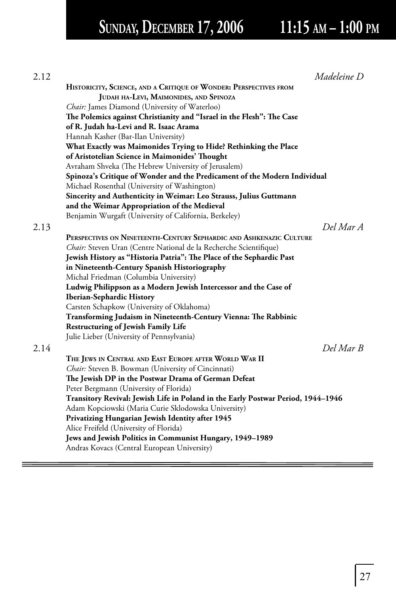# SUNDAY, DECEMBER 17, 2006 11:15 AM - 1:00 PM

| 2.12 | Madeleine D                                                                                                        |
|------|--------------------------------------------------------------------------------------------------------------------|
|      | HISTORICITY, SCIENCE, AND A CRITIQUE OF WONDER: PERSPECTIVES FROM                                                  |
|      | JUDAH HA-LEVI, MAIMONIDES, AND SPINOZA                                                                             |
|      | Chair: James Diamond (University of Waterloo)                                                                      |
|      | The Polemics against Christianity and "Israel in the Flesh": The Case                                              |
|      | of R. Judah ha-Levi and R. Isaac Arama                                                                             |
|      | Hannah Kasher (Bar-Ilan University)                                                                                |
|      | What Exactly was Maimonides Trying to Hide? Rethinking the Place                                                   |
|      | of Aristotelian Science in Maimonides' Thought                                                                     |
|      | Avraham Shveka (The Hebrew University of Jerusalem)                                                                |
|      | Spinoza's Critique of Wonder and the Predicament of the Modern Individual                                          |
|      | Michael Rosenthal (University of Washington)                                                                       |
|      | Sincerity and Authenticity in Weimar: Leo Strauss, Julius Guttmann<br>and the Weimar Appropriation of the Medieval |
|      | Benjamin Wurgaft (University of California, Berkeley)                                                              |
| 2.13 | Del Mar A                                                                                                          |
|      | PERSPECTIVES ON NINETEENTH-CENTURY SEPHARDIC AND ASHKENAZIC CULTURE                                                |
|      | Chair: Steven Uran (Centre National de la Recherche Scientifique)                                                  |
|      | Jewish History as "Historia Patria": The Place of the Sephardic Past                                               |
|      | in Nineteenth-Century Spanish Historiography                                                                       |
|      | Michal Friedman (Columbia University)                                                                              |
|      | Ludwig Philippson as a Modern Jewish Intercessor and the Case of                                                   |
|      | Iberian-Sephardic History                                                                                          |
|      | Carsten Schapkow (University of Oklahoma)                                                                          |
|      | Transforming Judaism in Nineteenth-Century Vienna: The Rabbinic                                                    |
|      | <b>Restructuring of Jewish Family Life</b>                                                                         |
|      | Julie Lieber (University of Pennsylvania)                                                                          |
| 2.14 | Del Mar B                                                                                                          |
|      | THE JEWS IN CENTRAL AND EAST EUROPE AFTER WORLD WAR II                                                             |
|      | <i>Chair:</i> Steven B. Bowman (University of Cincinnati)                                                          |
|      | The Jewish DP in the Postwar Drama of German Defeat                                                                |
|      | Peter Bergmann (University of Florida)                                                                             |
|      | Transitory Revival: Jewish Life in Poland in the Early Postwar Period, 1944–1946                                   |
|      | Adam Kopciowski (Maria Curie Sklodowska University)                                                                |
|      | Privatizing Hungarian Jewish Identity after 1945                                                                   |
|      | Alice Freifeld (University of Florida)                                                                             |
|      | Jews and Jewish Politics in Communist Hungary, 1949-1989                                                           |
|      | Andras Kovacs (Central European University)                                                                        |
|      |                                                                                                                    |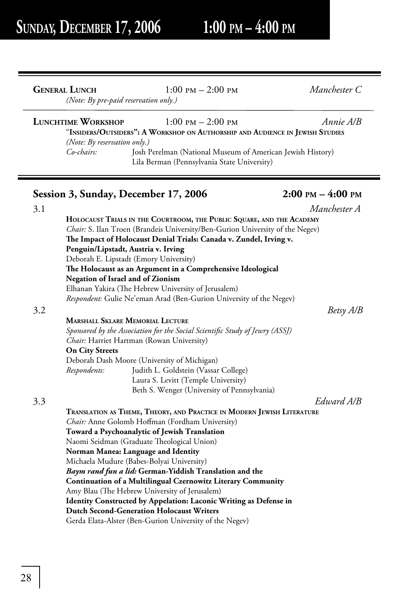|     | <b>GENERAL LUNCH</b>                                                    | $1:00$ PM $- 2:00$ PM<br>(Note: By pre-paid reservation only.)                                                                                                                                                                                                                                                                                                                                                                                                                                                                                                                                                                                                                  | Manchester C         |
|-----|-------------------------------------------------------------------------|---------------------------------------------------------------------------------------------------------------------------------------------------------------------------------------------------------------------------------------------------------------------------------------------------------------------------------------------------------------------------------------------------------------------------------------------------------------------------------------------------------------------------------------------------------------------------------------------------------------------------------------------------------------------------------|----------------------|
|     | <b>LUNCHTIME WORKSHOP</b><br>(Note: By reservation only.)<br>Co-chairs: | $1:00$ PM $- 2:00$ PM<br>"INSIDERS/OUTSIDERS": A WORKSHOP ON AUTHORSHIP AND AUDIENCE IN JEWISH STUDIES<br>Josh Perelman (National Museum of American Jewish History)<br>Lila Berman (Pennsylvania State University)                                                                                                                                                                                                                                                                                                                                                                                                                                                             | Annie A/B            |
|     |                                                                         | Session 3, Sunday, December 17, 2006                                                                                                                                                                                                                                                                                                                                                                                                                                                                                                                                                                                                                                            | $2:00$ PM $-4:00$ PM |
| 3.1 |                                                                         |                                                                                                                                                                                                                                                                                                                                                                                                                                                                                                                                                                                                                                                                                 | Manchester A         |
|     |                                                                         | Chair: S. Ilan Troen (Brandeis University/Ben-Gurion University of the Negev)<br>The Impact of Holocaust Denial Trials: Canada v. Zundel, Irving v.<br>Penguin/Lipstadt, Austria v. Irving<br>Deborah E. Lipstadt (Emory University)<br>The Holocaust as an Argument in a Comprehensive Ideological<br><b>Negation of Israel and of Zionism</b><br>Elhanan Yakira (The Hebrew University of Jerusalem)<br>Respondent: Gulie Ne'eman Arad (Ben-Gurion University of the Negev)                                                                                                                                                                                                   |                      |
| 3.2 |                                                                         |                                                                                                                                                                                                                                                                                                                                                                                                                                                                                                                                                                                                                                                                                 | Betsy A/B            |
|     |                                                                         | <b>MARSHALL SKLARE MEMORIAL LECTURE</b>                                                                                                                                                                                                                                                                                                                                                                                                                                                                                                                                                                                                                                         |                      |
|     | <b>On City Streets</b><br>Respondents:                                  | Sponsored by the Association for the Social Scientific Study of Jewry (ASSJ)<br>Chair: Harriet Hartman (Rowan University)<br>Deborah Dash Moore (University of Michigan)<br>Judith L. Goldstein (Vassar College)<br>Laura S. Levitt (Temple University)<br>Beth S. Wenger (University of Pennsylvania)                                                                                                                                                                                                                                                                                                                                                                          |                      |
| 3.3 |                                                                         |                                                                                                                                                                                                                                                                                                                                                                                                                                                                                                                                                                                                                                                                                 | Edward A/B           |
|     |                                                                         | TRANSLATION AS THEME, THEORY, AND PRACTICE IN MODERN JEWISH LITERATURE<br>Chair: Anne Golomb Hoffman (Fordham University)<br>Toward a Psychoanalytic of Jewish Translation<br>Naomi Seidman (Graduate Theological Union)<br>Norman Manea: Language and Identity<br>Michaela Mudure (Babes-Bolyai University)<br>Baym rand fun a lid: German-Yiddish Translation and the<br><b>Continuation of a Multilingual Czernowitz Literary Community</b><br>Amy Blau (The Hebrew University of Jerusalem)<br>Identity Constructed by Appelation: Laconic Writing as Defense in<br><b>Dutch Second-Generation Holocaust Writers</b><br>$1$ PL $M$ (D $C$ + $H$ + $L$ $L$ $M$ $\rightarrow$ |                      |

Gerda Elata-Alster (Ben-Gurion University of the Negev)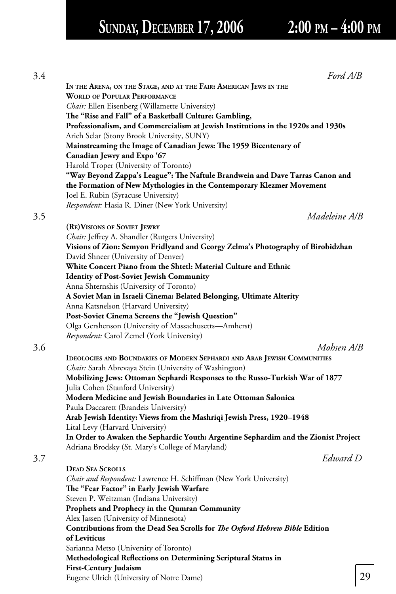# **SUNDAY, DECEMBER 17, 2006 2:00 PM – 4:00 PM**

|                                                                                     | Ford A/B |    |
|-------------------------------------------------------------------------------------|----------|----|
| IN THE ARENA, ON THE STAGE, AND AT THE FAIR: AMERICAN JEWS IN THE                   |          |    |
| <b>WORLD OF POPULAR PERFORMANCE</b>                                                 |          |    |
| Chair: Ellen Eisenberg (Willamette University)                                      |          |    |
| The "Rise and Fall" of a Basketball Culture: Gambling,                              |          |    |
| Professionalism, and Commercialism at Jewish Institutions in the 1920s and 1930s    |          |    |
| Arieh Sclar (Stony Brook University, SUNY)                                          |          |    |
| Mainstreaming the Image of Canadian Jews: The 1959 Bicentenary of                   |          |    |
| Canadian Jewry and Expo '67                                                         |          |    |
| Harold Troper (University of Toronto)                                               |          |    |
| "Way Beyond Zappa's League": The Naftule Brandwein and Dave Tarras Canon and        |          |    |
| the Formation of New Mythologies in the Contemporary Klezmer Movement               |          |    |
| Joel E. Rubin (Syracuse University)                                                 |          |    |
| Respondent: Hasia R. Diner (New York University)                                    |          |    |
| Madeleine A/B                                                                       |          |    |
| (RE) VISIONS OF SOVIET JEWRY                                                        |          |    |
| Chair: Jeffrey A. Shandler (Rutgers University)                                     |          |    |
| Visions of Zion: Semyon Fridlyand and Georgy Zelma's Photography of Birobidzhan     |          |    |
| David Shneer (University of Denver)                                                 |          |    |
| White Concert Piano from the Shtetl: Material Culture and Ethnic                    |          |    |
| <b>Identity of Post-Soviet Jewish Community</b>                                     |          |    |
| Anna Shternshis (University of Toronto)                                             |          |    |
| A Soviet Man in Israeli Cinema: Belated Belonging, Ultimate Alterity                |          |    |
| Anna Katsnelson (Harvard University)                                                |          |    |
| Post-Soviet Cinema Screens the "Jewish Question"                                    |          |    |
| Olga Gershenson (University of Massachusetts-Amherst)                               |          |    |
| Respondent: Carol Zemel (York University)                                           |          |    |
| Mohsen A/B                                                                          |          |    |
| IDEOLOGIES AND BOUNDARIES OF MODERN SEPHARDI AND ARAB JEWISH COMMUNITIES            |          |    |
| Chair: Sarah Abrevaya Stein (University of Washington)                              |          |    |
| Mobilizing Jews: Ottoman Sephardi Responses to the Russo-Turkish War of 1877        |          |    |
| Julia Cohen (Stanford University)                                                   |          |    |
| Modern Medicine and Jewish Boundaries in Late Ottoman Salonica                      |          |    |
| Paula Daccarett (Brandeis University)                                               |          |    |
| Arab Jewish Identity: Views from the Mashriqi Jewish Press, 1920-1948               |          |    |
| Lital Levy (Harvard University)                                                     |          |    |
| In Order to Awaken the Sephardic Youth: Argentine Sephardim and the Zionist Project |          |    |
| Adriana Brodsky (St. Mary's College of Maryland)                                    |          |    |
|                                                                                     | Edward D |    |
| <b>DEAD SEA SCROLLS</b>                                                             |          |    |
| Chair and Respondent: Lawrence H. Schiffman (New York University)                   |          |    |
| The "Fear Factor" in Early Jewish Warfare                                           |          |    |
| Steven P. Weitzman (Indiana University)                                             |          |    |
| Prophets and Prophecy in the Qumran Community                                       |          |    |
| Alex Jassen (University of Minnesota)                                               |          |    |
| Contributions from the Dead Sea Scrolls for The Oxford Hebrew Bible Edition         |          |    |
| of Leviticus                                                                        |          |    |
| Sarianna Metso (University of Toronto)                                              |          |    |
| Methodological Reflections on Determining Scriptural Status in                      |          |    |
| <b>First-Century Judaism</b>                                                        |          |    |
| Eugene Ulrich (University of Notre Dame)                                            |          | 29 |
|                                                                                     |          |    |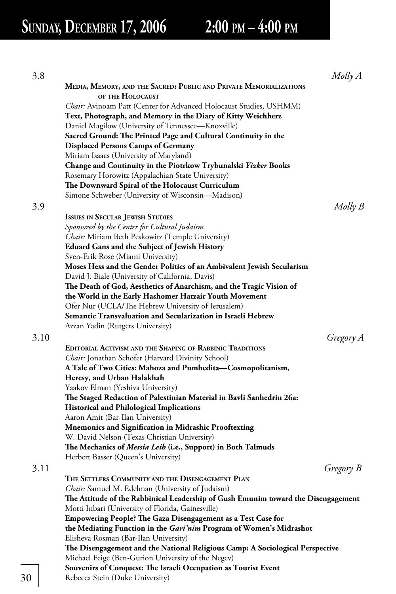# **SUNDAY, DECEMBER 17, 2006 2:00 PM – 4:00 PM**

| 3.8  |                                                                                                                                        | Molly A   |
|------|----------------------------------------------------------------------------------------------------------------------------------------|-----------|
|      | MEDIA, MEMORY, AND THE SACRED: PUBLIC AND PRIVATE MEMORIALIZATIONS                                                                     |           |
|      | OF THE HOLOCAUST                                                                                                                       |           |
|      | Chair: Avinoam Patt (Center for Advanced Holocaust Studies, USHMM)                                                                     |           |
|      | Text, Photograph, and Memory in the Diary of Kitty Weichherz                                                                           |           |
|      | Daniel Magilow (University of Tennessee—Knoxville)                                                                                     |           |
|      | Sacred Ground: The Printed Page and Cultural Continuity in the                                                                         |           |
|      | <b>Displaced Persons Camps of Germany</b>                                                                                              |           |
|      | Miriam Isaacs (University of Maryland)                                                                                                 |           |
|      | Change and Continuity in the Piotrkow Trybunalski Yizker Books                                                                         |           |
|      | Rosemary Horowitz (Appalachian State University)                                                                                       |           |
|      | The Downward Spiral of the Holocaust Curriculum                                                                                        |           |
|      | Simone Schweber (University of Wisconsin—Madison)                                                                                      |           |
| 3.9  |                                                                                                                                        | Molly B   |
|      | <b>ISSUES IN SECULAR JEWISH STUDIES</b>                                                                                                |           |
|      | Sponsored by the Center for Cultural Judaism                                                                                           |           |
|      | Chair: Miriam Beth Peskowitz (Temple University)                                                                                       |           |
|      | <b>Eduard Gans and the Subject of Jewish History</b>                                                                                   |           |
|      | Sven-Erik Rose (Miami University)                                                                                                      |           |
|      | Moses Hess and the Gender Politics of an Ambivalent Jewish Secularism                                                                  |           |
|      | David J. Biale (University of California, Davis)                                                                                       |           |
|      | The Death of God, Aesthetics of Anarchism, and the Tragic Vision of                                                                    |           |
|      | the World in the Early Hashomer Hatzair Youth Movement                                                                                 |           |
|      | Ofer Nur (UCLA/The Hebrew University of Jerusalem)                                                                                     |           |
|      | Semantic Transvaluation and Secularization in Israeli Hebrew                                                                           |           |
|      | Azzan Yadin (Rutgers University)                                                                                                       |           |
| 3.10 |                                                                                                                                        | Gregory A |
|      | EDITORIAL ACTIVISM AND THE SHAPING OF RABBINIC TRADITIONS                                                                              |           |
|      | Chair: Jonathan Schofer (Harvard Divinity School)                                                                                      |           |
|      | A Tale of Two Cities: Mahoza and Pumbedita—Cosmopolitanism,                                                                            |           |
|      | Heresy, and Urban Halakhah                                                                                                             |           |
|      | Yaakov Elman (Yeshiva University)                                                                                                      |           |
|      | The Staged Redaction of Palestinian Material in Bavli Sanhedrin 26a:                                                                   |           |
|      | Historical and Philological Implications                                                                                               |           |
|      | Aaron Amit (Bar-Ilan University)                                                                                                       |           |
|      | <b>Mnemonics and Signification in Midrashic Prooftexting</b>                                                                           |           |
|      | W. David Nelson (Texas Christian University)                                                                                           |           |
|      | The Mechanics of <i>Messia Leib</i> (i.e., Support) in Both Talmuds                                                                    |           |
|      | Herbert Basser (Queen's University)                                                                                                    |           |
| 3.11 |                                                                                                                                        |           |
|      | THE SETTLERS COMMUNITY AND THE DISENGAGEMENT PLAN                                                                                      | Gregory B |
|      |                                                                                                                                        |           |
|      | Chair: Samuel M. Edelman (University of Judaism)                                                                                       |           |
|      | The Attitude of the Rabbinical Leadership of Gush Emunim toward the Disengagement<br>Motti Inbari (University of Florida, Gainesville) |           |
|      |                                                                                                                                        |           |
|      | <b>Empowering People? The Gaza Disengagement as a Test Case for</b>                                                                    |           |
|      | the Mediating Function in the Gari'nim Program of Women's Midrashot                                                                    |           |
|      | Elisheva Rosman (Bar-Ilan University)                                                                                                  |           |
|      | The Disengagement and the National Religious Camp: A Sociological Perspective                                                          |           |
|      | Michael Feige (Ben-Gurion University of the Negev)                                                                                     |           |
| 30   | Souvenirs of Conquest: The Israeli Occupation as Tourist Event<br>Rebecca Stein (Duke University)                                      |           |
|      |                                                                                                                                        |           |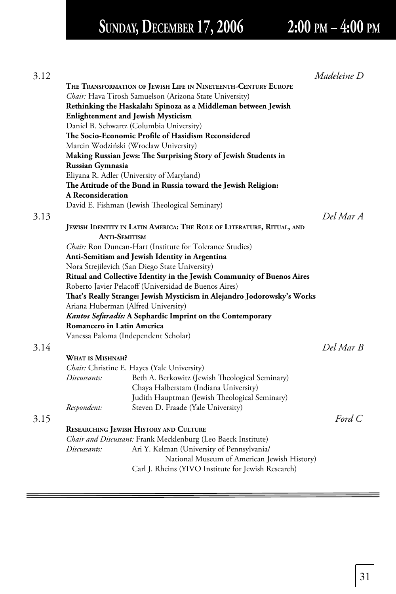# **SUNDAY, DECEMBER 17, 2006 2:00 PM – 4:00 PM**

| 3.12 |                                      |                                                                         | Madeleine D |
|------|--------------------------------------|-------------------------------------------------------------------------|-------------|
|      |                                      | THE TRANSFORMATION OF JEWISH LIFE IN NINETEENTH-CENTURY EUROPE          |             |
|      |                                      | Chair: Hava Tirosh Samuelson (Arizona State University)                 |             |
|      |                                      | Rethinking the Haskalah: Spinoza as a Middleman between Jewish          |             |
|      |                                      | <b>Enlightenment and Jewish Mysticism</b>                               |             |
|      |                                      | Daniel B. Schwartz (Columbia University)                                |             |
|      |                                      | The Socio-Economic Profile of Hasidism Reconsidered                     |             |
|      |                                      | Marcin Wodziński (Wroclaw University)                                   |             |
|      |                                      | Making Russian Jews: The Surprising Story of Jewish Students in         |             |
|      | Russian Gymnasia                     |                                                                         |             |
|      |                                      | Eliyana R. Adler (University of Maryland)                               |             |
|      |                                      | The Attitude of the Bund in Russia toward the Jewish Religion:          |             |
|      | <b>A</b> Reconsideration             |                                                                         |             |
|      |                                      | David E. Fishman (Jewish Theological Seminary)                          |             |
| 3.13 |                                      |                                                                         | Del Mar A   |
|      |                                      | JEWISH IDENTITY IN LATIN AMERICA: THE ROLE OF LITERATURE, RITUAL, AND   |             |
|      | <b>ANTI-SEMITISM</b>                 |                                                                         |             |
|      |                                      | Chair: Ron Duncan-Hart (Institute for Tolerance Studies)                |             |
|      |                                      | Anti-Semitism and Jewish Identity in Argentina                          |             |
|      |                                      | Nora Strejilevich (San Diego State University)                          |             |
|      |                                      | Ritual and Collective Identity in the Jewish Community of Buenos Aires  |             |
|      |                                      | Roberto Javier Pelacoff (Universidad de Buenos Aires)                   |             |
|      |                                      | That's Really Strange: Jewish Mysticism in Alejandro Jodorowsky's Works |             |
|      | Ariana Huberman (Alfred University)  |                                                                         |             |
|      |                                      | Kantos Sefaradís: A Sephardic Imprint on the Contemporary               |             |
|      | Romancero in Latin America           |                                                                         |             |
|      | Vanessa Paloma (Independent Scholar) |                                                                         |             |
| 3.14 |                                      |                                                                         | Del Mar B   |
|      | WHAT IS MISHNAH?                     |                                                                         |             |
|      |                                      | Chair: Christine E. Hayes (Yale University)                             |             |
|      | Discussants:                         | Beth A. Berkowitz (Jewish Theological Seminary)                         |             |
|      |                                      | Chaya Halberstam (Indiana University)                                   |             |
|      |                                      | Judith Hauptman (Jewish Theological Seminary)                           |             |
|      | Respondent:                          | Steven D. Fraade (Yale University)                                      |             |
| 3.15 |                                      |                                                                         | Ford $C$    |
|      |                                      | RESEARCHING JEWISH HISTORY AND CULTURE                                  |             |
|      |                                      | Chair and Discussant: Frank Mecklenburg (Leo Baeck Institute)           |             |
|      | Discussants:                         | Ari Y. Kelman (University of Pennsylvania/                              |             |
|      |                                      | National Museum of American Jewish History)                             |             |
|      |                                      | Carl J. Rheins (YIVO Institute for Jewish Research)                     |             |
|      |                                      |                                                                         |             |
|      |                                      |                                                                         |             |

and the control of the control of the control of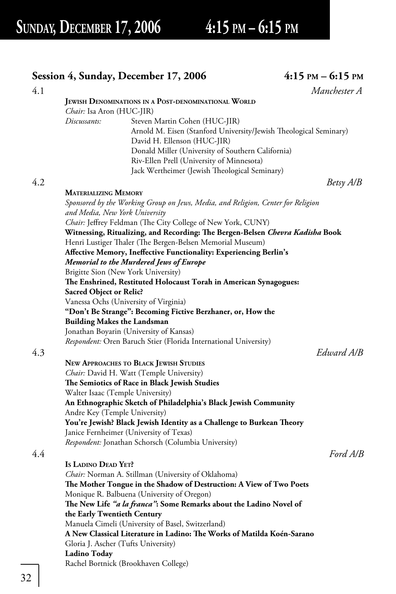## **Session 4, Sunday, December 17, 2006** 4:15 PM – 6:15 PM 4.1 *Manchester A*  **JEWISH DENOMINATIONS IN A POST-DENOMINATIONAL WORLD** *Chair:* Isa Aron (HUC-JIR) *Discussants:* Steven Martin Cohen (HUC-JIR) Arnold M. Eisen (Stanford University/Jewish Theological Seminary) David H. Ellenson (HUC-JIR) Donald Miller (University of Southern California) Riv-Ellen Prell (University of Minnesota) Jack Wertheimer (Jewish Theological Seminary) 4.2 *Betsy A/B*  **MATERIALIZING MEMORY** *Sponsored by the Working Group on Jews, Media, and Religion, Center for Religion and Media, New York University* Chair: Jeffrey Feldman (The City College of New York, CUNY)  **Witnessing, Ritualizing, and Recording: Th e Bergen-Belsen** *Chevra Kadisha* **Book** Henri Lustiger Thaler (The Bergen-Belsen Memorial Museum)  **Affective Memory, Ineffective Functionality: Experiencing Berlin's** *Memorial to the Murdered Jews of Europe* Brigitte Sion (New York University) **The Enshrined, Restituted Holocaust Torah in American Synagogues: Sacred Object or Relic?** Vanessa Ochs (University of Virginia)  **"Don't Be Strange": Becoming Fictive Berzhaner, or, How the Building Makes the Landsman** Jonathan Boyarin (University of Kansas) *Respondent:* Oren Baruch Stier (Florida International University) 4.3 *Edward A/B*  **NEW APPROACHES TO BLACK JEWISH STUDIES** *Chair:* David H. Watt (Temple University) **The Semiotics of Race in Black Jewish Studies**  Walter Isaac (Temple University)  **An Ethnographic Sketch of Philadelphia's Black Jewish Community** Andre Key (Temple University) You're Jewish? Black Jewish Identity as a Challenge to Burkean Theory Janice Fernheimer (University of Texas) *Respondent:* Jonathan Schorsch (Columbia University) 4.4 *Ford A/B*  **IS LADINO DEAD YET?** *Chair:* Norman A. Stillman (University of Oklahoma) The Mother Tongue in the Shadow of Destruction: A View of Two Poets Monique R. Balbuena (University of Oregon) The New Life "a la franca": Some Remarks about the Ladino Novel of  **the Early Twentieth Century** Manuela Cimeli (University of Basel, Switzerland) **A New Classical Literature in Ladino: The Works of Matilda Koén-Sarano**  Gloria J. Ascher (Tufts University)  **Ladino Today**

Rachel Bortnick (Brookhaven College)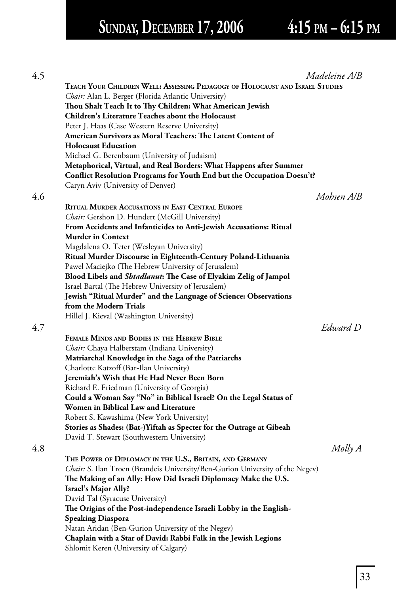# **SUNDAY, DECEMBER 17, 2006 4:15 PM – 6:15 PM**

| 4.5 | Madeleine A/B                                                                 |
|-----|-------------------------------------------------------------------------------|
|     | TEACH YOUR CHILDREN WELL: ASSESSING PEDAGOGY OF HOLOCAUST AND ISRAEL STUDIES  |
|     | Chair: Alan L. Berger (Florida Atlantic University)                           |
|     | Thou Shalt Teach It to Thy Children: What American Jewish                     |
|     | Children's Literature Teaches about the Holocaust                             |
|     | Peter J. Haas (Case Western Reserve University)                               |
|     | American Survivors as Moral Teachers: The Latent Content of                   |
|     | <b>Holocaust Education</b>                                                    |
|     | Michael G. Berenbaum (University of Judaism)                                  |
|     | Metaphorical, Virtual, and Real Borders: What Happens after Summer            |
|     | Conflict Resolution Programs for Youth End but the Occupation Doesn't?        |
|     | Caryn Aviv (University of Denver)                                             |
| 4.6 | Mohsen A/B                                                                    |
|     | <b>RITUAL MURDER ACCUSATIONS IN EAST CENTRAL EUROPE</b>                       |
|     | Chair: Gershon D. Hundert (McGill University)                                 |
|     | From Accidents and Infanticides to Anti-Jewish Accusations: Ritual            |
|     | <b>Murder in Context</b>                                                      |
|     | Magdalena O. Teter (Wesleyan University)                                      |
|     | Ritual Murder Discourse in Eighteenth-Century Poland-Lithuania                |
|     | Pawel Maciejko (The Hebrew University of Jerusalem)                           |
|     | Blood Libels and Shtadlanut: The Case of Elyakim Zelig of Jampol              |
|     | Israel Bartal (The Hebrew University of Jerusalem)                            |
|     | Jewish "Ritual Murder" and the Language of Science: Observations              |
|     | from the Modern Trials                                                        |
|     | Hillel J. Kieval (Washington University)                                      |
| 4.7 | Edward D                                                                      |
|     | FEMALE MINDS AND BODIES IN THE HEBREW BIBLE                                   |
|     | Chair: Chaya Halberstam (Indiana University)                                  |
|     | Matriarchal Knowledge in the Saga of the Patriarchs                           |
|     | Charlotte Katzoff (Bar-Ilan University)                                       |
|     | Jeremiah's Wish that He Had Never Been Born                                   |
|     | Richard E. Friedman (University of Georgia)                                   |
|     | Could a Woman Say "No" in Biblical Israel? On the Legal Status of             |
|     | Women in Biblical Law and Literature                                          |
|     | Robert S. Kawashima (New York University)                                     |
|     | Stories as Shades: (Bat-)Yiftah as Specter for the Outrage at Gibeah          |
|     | David T. Stewart (Southwestern University)                                    |
| 4.8 | Molly A                                                                       |
|     | THE POWER OF DIPLOMACY IN THE U.S., BRITAIN, AND GERMANY                      |
|     | Chair: S. Ilan Troen (Brandeis University/Ben-Gurion University of the Negev) |
|     | The Making of an Ally: How Did Israeli Diplomacy Make the U.S.                |
|     | Israel's Major Ally?                                                          |
|     | David Tal (Syracuse University)                                               |
|     | The Origins of the Post-independence Israeli Lobby in the English-            |
|     | <b>Speaking Diaspora</b>                                                      |
|     | Natan Aridan (Ben-Gurion University of the Negev)                             |
|     | Chaplain with a Star of David: Rabbi Falk in the Jewish Legions               |
|     | Shlomit Keren (University of Calgary)                                         |
|     |                                                                               |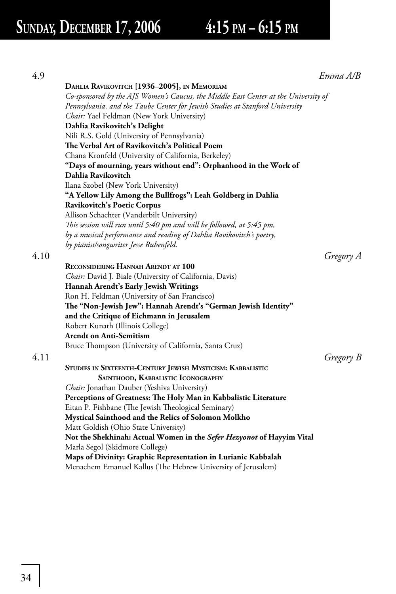|                                                                                     | Emma A/B  |
|-------------------------------------------------------------------------------------|-----------|
| DAHLIA RAVIKOVITCH [1936-2005], IN MEMORIAM                                         |           |
| Co-sponsored by the AJS Women's Caucus, the Middle East Center at the University of |           |
| Pennsylvania, and the Taube Center for Jewish Studies at Stanford University        |           |
| Chair: Yael Feldman (New York University)                                           |           |
| Dahlia Ravikovitch's Delight                                                        |           |
| Nili R.S. Gold (University of Pennsylvania)                                         |           |
| The Verbal Art of Ravikovitch's Political Poem                                      |           |
| Chana Kronfeld (University of California, Berkeley)                                 |           |
| "Days of mourning, years without end": Orphanhood in the Work of                    |           |
| Dahlia Ravikovitch                                                                  |           |
| Ilana Szobel (New York University)                                                  |           |
| "A Yellow Lily Among the Bullfrogs": Leah Goldberg in Dahlia                        |           |
| Ravikovitch's Poetic Corpus                                                         |           |
| Allison Schachter (Vanderbilt University)                                           |           |
| This session will run until 5:40 pm and will be followed, at 5:45 pm,               |           |
| by a musical performance and reading of Dahlia Ravikovitch's poetry,                |           |
| by pianist/songwriter Jesse Rubenfeld.                                              |           |
|                                                                                     | Gregory A |
| <b>RECONSIDERING HANNAH ARENDT AT 100</b>                                           |           |
| Chair: David J. Biale (University of California, Davis)                             |           |
| Hannah Arendt's Early Jewish Writings                                               |           |
| Ron H. Feldman (University of San Francisco)                                        |           |
| The "Non-Jewish Jew": Hannah Arendt's "German Jewish Identity"                      |           |
| and the Critique of Eichmann in Jerusalem                                           |           |
| Robert Kunath (Illinois College)                                                    |           |
| <b>Arendt on Anti-Semitism</b>                                                      |           |
| Bruce Thompson (University of California, Santa Cruz)                               |           |
|                                                                                     | Gregory B |
| STUDIES IN SIXTEENTH-CENTURY JEWISH MYSTICISM: KABBALISTIC                          |           |
| SAINTHOOD, KABBALISTIC ICONOGRAPHY                                                  |           |
| Chair: Jonathan Dauber (Yeshiva University)                                         |           |
| Perceptions of Greatness: The Holy Man in Kabbalistic Literature                    |           |
| Eitan P. Fishbane (The Jewish Theological Seminary)                                 |           |
| Mystical Sainthood and the Relics of Solomon Molkho                                 |           |
| Matt Goldish (Ohio State University)                                                |           |
| Not the Shekhinah: Actual Women in the Sefer Hezyonot of Hayyim Vital               |           |
| Marla Segol (Skidmore College)                                                      |           |
| Maps of Divinity: Graphic Representation in Lurianic Kabbalah                       |           |
| Menachem Emanuel Kallus (The Hebrew University of Jerusalem)                        |           |
|                                                                                     |           |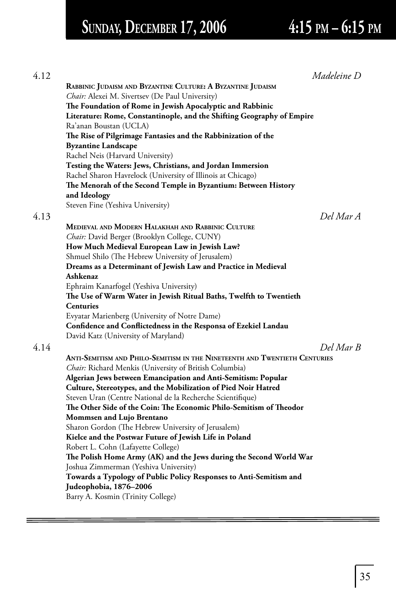# **SUNDAY, DECEMBER 17, 2006 4:15 PM – 6:15 PM**

| 4.12 | Madeleine D                                                                |
|------|----------------------------------------------------------------------------|
|      | RABBINIC JUDAISM AND BYZANTINE CULTURE: A BYZANTINE JUDAISM                |
|      | Chair: Alexei M. Sivertsev (De Paul University)                            |
|      | The Foundation of Rome in Jewish Apocalyptic and Rabbinic                  |
|      | Literature: Rome, Constantinople, and the Shifting Geography of Empire     |
|      | Ra'anan Boustan (UCLA)                                                     |
|      | The Rise of Pilgrimage Fantasies and the Rabbinization of the              |
|      | <b>Byzantine Landscape</b>                                                 |
|      | Rachel Neis (Harvard University)                                           |
|      | Testing the Waters: Jews, Christians, and Jordan Immersion                 |
|      | Rachel Sharon Havrelock (University of Illinois at Chicago)                |
|      | The Menorah of the Second Temple in Byzantium: Between History             |
|      | and Ideology                                                               |
|      | Steven Fine (Yeshiva University)                                           |
| 4.13 | Del Mar A                                                                  |
|      | MEDIEVAL AND MODERN HALAKHAH AND RABBINIC CULTURE                          |
|      | Chair: David Berger (Brooklyn College, CUNY)                               |
|      | How Much Medieval European Law in Jewish Law?                              |
|      | Shmuel Shilo (The Hebrew University of Jerusalem)                          |
|      | Dreams as a Determinant of Jewish Law and Practice in Medieval             |
|      | Ashkenaz                                                                   |
|      | Ephraim Kanarfogel (Yeshiva University)                                    |
|      | The Use of Warm Water in Jewish Ritual Baths, Twelfth to Twentieth         |
|      | <b>Centuries</b>                                                           |
|      | Evyatar Marienberg (University of Notre Dame)                              |
|      | Confidence and Conflictedness in the Responsa of Ezekiel Landau            |
|      | David Katz (University of Maryland)                                        |
|      | Del Mar B                                                                  |
|      | ANTI-SEMITISM AND PHILO-SEMITISM IN THE NINETEENTH AND TWENTIETH CENTURIES |
|      | Chair: Richard Menkis (University of British Columbia)                     |
|      | Algerian Jews between Emancipation and Anti-Semitism: Popular              |
|      | Culture, Stereotypes, and the Mobilization of Pied Noir Hatred             |
|      | Steven Uran (Centre National de la Recherche Scientifique)                 |
|      | The Other Side of the Coin: The Economic Philo-Semitism of Theodor         |
|      | <b>Mommsen and Lujo Brentano</b>                                           |
|      | Sharon Gordon (The Hebrew University of Jerusalem)                         |
|      | Kielce and the Postwar Future of Jewish Life in Poland                     |
|      | Robert L. Cohn (Lafayette College)                                         |
|      | The Polish Home Army (AK) and the Jews during the Second World War         |
|      | Joshua Zimmerman (Yeshiva University)                                      |
|      | Towards a Typology of Public Policy Responses to Anti-Semitism and         |
|      | Judeophobia, 1876–2006                                                     |
|      | Barry A. Kosmin (Trinity College)                                          |
|      |                                                                            |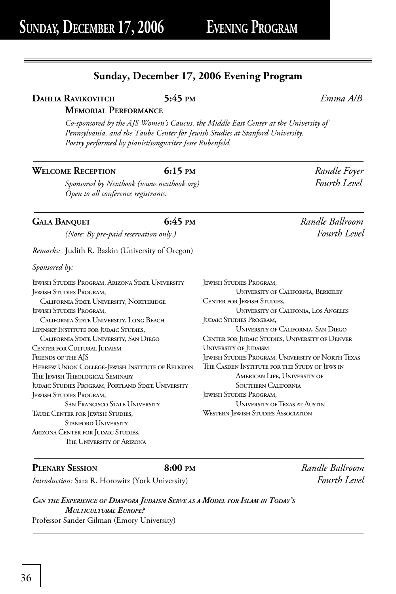## **Sunday, December 17, 2006 Evening Program**

## **DAHLIA RAVIKOVITCH 5:45 PM** *Emma A/B*

## **MEMORIAL PERFORMANCE**

*Co-sponsored by the AJS Women's Caucus, the Middle East Center at the University of Pennsylvania, and the Taube Center for Jewish Studies at Stanford University. Poetry performed by pianist/songwriter Jesse Rubenfeld.*

## **WELCOME RECEPTION 6:15 PM** *Randle Foyer*

*Sponsored by Nextbook (www.nextbook.org) Fourth Level Open to all conference registrants.* 

## **GALA BANQUET 6:45 PM** *Randle Ballroom*

 *(Note: By pre-paid reservation only.) Fourth Level*

*Remarks:* Judith R. Baskin (University of Oregon)

*Sponsored by:*

Jewish Studies Program, Arizona State University Jewish Studies Program, California State University, Northridge Jewish Studies Program, California State University, Long Beach LIPINSKY INSTITUTE FOR JUDAIC STUDIES, California State University, San Diego Center for Cultural Judaism FRIENDS OF THE AJS Hebrew Union College-Jewish Institute of Religion The Jewish Theological Seminary Judaic Studies Program, Portland State University Jewish Studies Program, San Francisco State University Taube Center for Jewish Studies, STANFORD UNIVERSITY ARIZONA CENTER FOR JUDAIC STUDIES, The University of Arizona

| <b>JEWISH STUDIES PROGRAM,</b>                           |
|----------------------------------------------------------|
| <b>UNIVERSITY OF CALIFORNIA, BERKELEY</b>                |
| <b>CENTER FOR JEWISH STUDIES,</b>                        |
| <b>UNIVERSITY OF CALIFONIA, LOS ANGELES</b>              |
| <b>JUDAIC STUDIES PROGRAM,</b>                           |
| UNIVERSITY OF CALIFORNIA, SAN DIEGO                      |
| CENTER FOR JUDAIC STUDIES, UNIVERSITY OF DENVER          |
| UNIVERSITY OF JUDAISM                                    |
| <b>JEWISH STUDIES PROGRAM, UNIVERSITY OF NORTH TEXAS</b> |
| THE CASDEN INSTITUTE FOR THE STUDY OF JEWS IN            |
| AMERICAN LIFE, UNIVERSITY OF                             |
| SOLITHERN CALIFORNIA                                     |
| <b>JEWISH STUDIES PROGRAM,</b>                           |
| <b>UNIVERSITY OF TEXAS AT AUSTIN</b>                     |
| WESTERN JEWISH STUDIES ASSOCIATION                       |

**PLENARY SESSION 8:00 PM** *Randle Ballroom*

*Introduction:* Sara R. Horowitz (York University) *Fourth Level*

*CAN THE EXPERIENCE OF DIASPORA JUDAISM SERVE AS A MODEL FOR ISLAM IN TODAY'S MULTICULTURAL EUROPE?* Professor Sander Gilman (Emory University)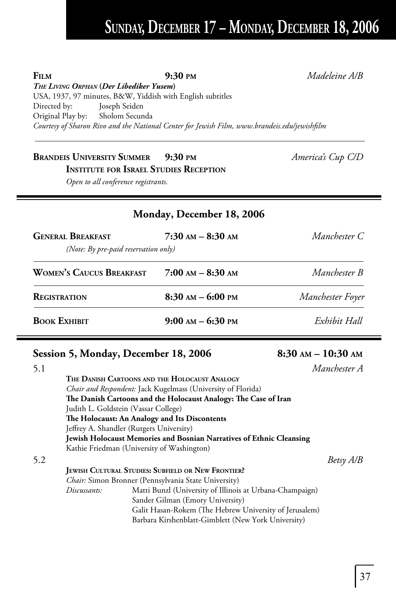## **SUNDAY, DECEMBER 17 – MONDAY, DECEMBER 18, 2006**

**FILM 9:30 PM** *Madeleine A/B*

*THE LIVING ORPHAN* **(***Der Libediker Yusem***)** USA, 1937, 97 minutes, B&W, Yiddish with English subtitles Directed by: Joseph Seiden Original Play by: Sholom Secunda Courtesy of Sharon Rivo and the National Center for Jewish Film, www.brandeis.edu/jewishfilm

## **BRANDEIS UNIVERSITY SUMMER** 9:30 PM<br>
America's Cup C/D  **INSTITUTE FOR ISRAEL STUDIES RECEPTION**

*Open to all conference registrants.*

## **Monday, December 18, 2006**

| <b>GENERAL BREAKFAST</b>             | $7:30$ AM $-$ 8:30 AM | Manchester C     |
|--------------------------------------|-----------------------|------------------|
| (Note: By pre-paid reservation only) |                       |                  |
| <b>WOMEN'S CAUCUS BREAKFAST</b>      | $7:00$ AM $-$ 8:30 AM | Manchester B     |
| <b>REGISTRATION</b>                  | $8:30$ AM $-$ 6:00 PM | Manchester Foyer |
| <b>BOOK EXHIBIT</b>                  | $9:00$ AM $-$ 6:30 PM | Exhibit Hall     |

## **Session 5, Monday, December 18, 2006 8:30 AM – 10:30 AM**

| 5.1 |                                      |                                                                             | Manchester A |
|-----|--------------------------------------|-----------------------------------------------------------------------------|--------------|
|     |                                      | THE DANISH CARTOONS AND THE HOLOCAUST ANALOGY                               |              |
|     |                                      | <i>Chair and Respondent:</i> Jack Kugelmass (University of Florida)         |              |
|     |                                      | The Danish Cartoons and the Holocaust Analogy: The Case of Iran             |              |
|     | Judith L. Goldstein (Vassar College) |                                                                             |              |
|     |                                      | The Holocaust: An Analogy and Its Discontents                               |              |
|     |                                      | Jeffrey A. Shandler (Rutgers University)                                    |              |
|     |                                      | <b>Jewish Holocaust Memories and Bosnian Narratives of Ethnic Cleansing</b> |              |
|     |                                      | Kathie Friedman (University of Washington)                                  |              |
| 5.2 |                                      |                                                                             | Betsy A/B    |
|     |                                      | <b>JEWISH CULTURAL STUDIES: SUBFIELD OR NEW FRONTIER?</b>                   |              |
|     |                                      | Chair: Simon Bronner (Pennsylvania State University)                        |              |
|     | Discussants:                         | Matti Bunzl (University of Illinois at Urbana-Champaign)                    |              |
|     |                                      | Sander Gilman (Emory University)                                            |              |
|     |                                      | Galit Hasan-Rokem (The Hebrew University of Jerusalem)                      |              |
|     |                                      | Barbara Kirshenblatt-Gimblett (New York University)                         |              |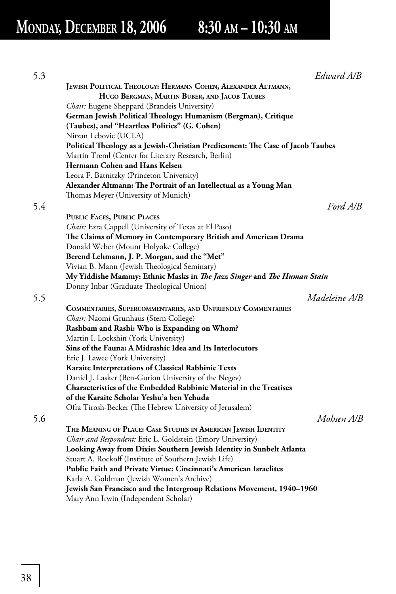# **MONDAY, DECEMBER 18, 2006 8:30 AM – 10:30 AM**

| 5.3 | Edward A/B                                                                     |
|-----|--------------------------------------------------------------------------------|
|     | JEWISH POLITICAL THEOLOGY: HERMANN COHEN, ALEXANDER ALTMANN,                   |
|     | HUGO BERGMAN, MARTIN BUBER, AND JACOB TAUBES                                   |
|     | Chair: Eugene Sheppard (Brandeis University)                                   |
|     | German Jewish Political Theology: Humanism (Bergman), Critique                 |
|     | (Taubes), and "Heartless Politics" (G. Cohen)                                  |
|     | Nitzan Lebovic (UCLA)                                                          |
|     | Political Theology as a Jewish-Christian Predicament: The Case of Jacob Taubes |
|     | Martin Treml (Center for Literary Research, Berlin)                            |
|     | Hermann Cohen and Hans Kelsen                                                  |
|     | Leora F. Batnitzky (Princeton University)                                      |
|     | Alexander Altmann: The Portrait of an Intellectual as a Young Man              |
|     | Thomas Meyer (University of Munich)                                            |
| 5.4 | Ford A/B                                                                       |
|     | <b>PUBLIC FACES, PUBLIC PLACES</b>                                             |
|     | Chair: Ezra Cappell (University of Texas at El Paso)                           |
|     | The Claims of Memory in Contemporary British and American Drama                |
|     | Donald Weber (Mount Holyoke College)                                           |
|     | Berend Lehmann, J. P. Morgan, and the "Met"                                    |
|     | Vivian B. Mann (Jewish Theological Seminary)                                   |
|     | My Yiddishe Mammy: Ethnic Masks in The Jazz Singer and The Human Stain         |
|     | Donny Inbar (Graduate Theological Union)                                       |
| 5.5 | Madeleine A/B                                                                  |
|     | COMMENTARIES, SUPERCOMMENTARIES, AND UNFRIENDLY COMMENTARIES                   |
|     | Chair: Naomi Grunhaus (Stern College)                                          |
|     | Rashbam and Rashi: Who is Expanding on Whom?                                   |
|     | Martin I. Lockshin (York University)                                           |
|     | Sins of the Fauna: A Midrashic Idea and Its Interlocutors                      |
|     | Eric J. Lawee (York University)                                                |
|     | Karaite Interpretations of Classical Rabbinic Texts                            |
|     | Daniel J. Lasker (Ben-Gurion University of the Negev)                          |
|     | Characteristics of the Embedded Rabbinic Material in the Treatises             |
|     | of the Karaite Scholar Yeshu'a ben Yehuda                                      |
|     | Ofra Tirosh-Becker (The Hebrew University of Jerusalem)                        |
| 5.6 | Mohsen A/B                                                                     |
|     | THE MEANING OF PLACE: CASE STUDIES IN AMERICAN JEWISH IDENTITY                 |
|     | Chair and Respondent: Eric L. Goldstein (Emory University)                     |
|     | Looking Away from Dixie: Southern Jewish Identity in Sunbelt Atlanta           |
|     | Stuart A. Rockoff (Institute of Southern Jewish Life)                          |
|     | Public Faith and Private Virtue: Cincinnati's American Israelites              |
|     | Karla A. Goldman (Jewish Women's Archive)                                      |
|     | Jewish San Francisco and the Intergroup Relations Movement, 1940-1960          |
|     | Mary Ann Irwin (Independent Scholar)                                           |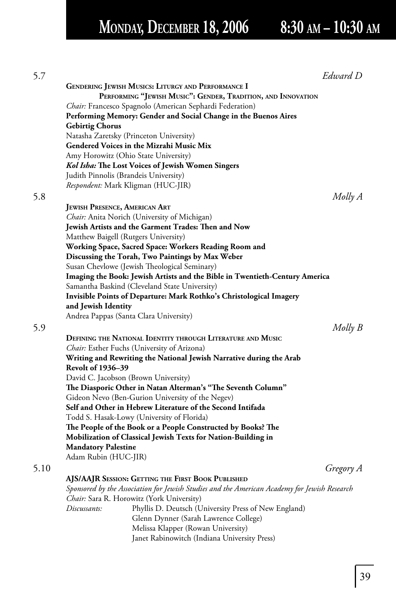# **MONDAY, DECEMBER 18, 2006 8:30 AM – 10:30 AM**

| 5.7  |                                      |                                                                                              | Edward D  |
|------|--------------------------------------|----------------------------------------------------------------------------------------------|-----------|
|      |                                      | <b>GENDERING JEWISH MUSICS: LITURGY AND PERFORMANCE I</b>                                    |           |
|      |                                      | PERFORMING "JEWISH MUSIC": GENDER, TRADITION, AND INNOVATION                                 |           |
|      |                                      | Chair: Francesco Spagnolo (American Sephardi Federation)                                     |           |
|      |                                      | Performing Memory: Gender and Social Change in the Buenos Aires                              |           |
|      | <b>Gebirtig Chorus</b>               |                                                                                              |           |
|      |                                      | Natasha Zaretsky (Princeton University)                                                      |           |
|      |                                      | Gendered Voices in the Mizrahi Music Mix                                                     |           |
|      |                                      | Amy Horowitz (Ohio State University)                                                         |           |
|      |                                      | Kol Isha: The Lost Voices of Jewish Women Singers                                            |           |
|      |                                      | Judith Pinnolis (Brandeis University)                                                        |           |
|      |                                      | <i>Respondent:</i> Mark Kligman (HUC-JIR)                                                    |           |
| 5.8  |                                      |                                                                                              | Molly A   |
|      | <b>JEWISH PRESENCE, AMERICAN ART</b> |                                                                                              |           |
|      |                                      | <i>Chair:</i> Anita Norich (University of Michigan)                                          |           |
|      |                                      | Jewish Artists and the Garment Trades: Then and Now                                          |           |
|      |                                      | Matthew Baigell (Rutgers University)                                                         |           |
|      |                                      | Working Space, Sacred Space: Workers Reading Room and                                        |           |
|      |                                      | Discussing the Torah, Two Paintings by Max Weber                                             |           |
|      |                                      | Susan Chevlowe (Jewish Theological Seminary)                                                 |           |
|      |                                      | Imaging the Book: Jewish Artists and the Bible in Twentieth-Century America                  |           |
|      |                                      | Samantha Baskind (Cleveland State University)                                                |           |
|      |                                      | Invisible Points of Departure: Mark Rothko's Christological Imagery                          |           |
|      | and Jewish Identity                  |                                                                                              |           |
|      |                                      | Andrea Pappas (Santa Clara University)                                                       |           |
| 5.9  |                                      |                                                                                              | Molly B   |
|      |                                      | DEFINING THE NATIONAL IDENTITY THROUGH LITERATURE AND MUSIC                                  |           |
|      |                                      | <i>Chair:</i> Esther Fuchs (University of Arizona)                                           |           |
|      |                                      | Writing and Rewriting the National Jewish Narrative during the Arab                          |           |
|      | <b>Revolt of 1936-39</b>             |                                                                                              |           |
|      |                                      | David C. Jacobson (Brown University)                                                         |           |
|      |                                      | The Diasporic Other in Natan Alterman's "The Seventh Column"                                 |           |
|      |                                      | Gideon Nevo (Ben-Gurion University of the Negev)                                             |           |
|      |                                      | Self and Other in Hebrew Literature of the Second Intifada                                   |           |
|      |                                      | Todd S. Hasak-Lowy (University of Florida)                                                   |           |
|      |                                      | The People of the Book or a People Constructed by Books? The                                 |           |
|      |                                      | Mobilization of Classical Jewish Texts for Nation-Building in                                |           |
|      | <b>Mandatory Palestine</b>           |                                                                                              |           |
|      | Adam Rubin (HUC-JIR)                 |                                                                                              |           |
| 5.10 |                                      |                                                                                              | Gregory A |
|      |                                      | AJS/AAJR SESSION: GETTING THE FIRST BOOK PUBLISHED                                           |           |
|      |                                      | Sponsored by the Association for Jewish Studies and the American Academy for Jewish Research |           |
|      |                                      | <i>Chair:</i> Sara R. Horowitz (York University)                                             |           |
|      | Discussants:                         | Phyllis D. Deutsch (University Press of New England)                                         |           |
|      |                                      | Glenn Dynner (Sarah Lawrence College)                                                        |           |
|      |                                      | Melissa Klapper (Rowan University)                                                           |           |
|      |                                      | Janet Rabinowitch (Indiana University Press)                                                 |           |

 $39$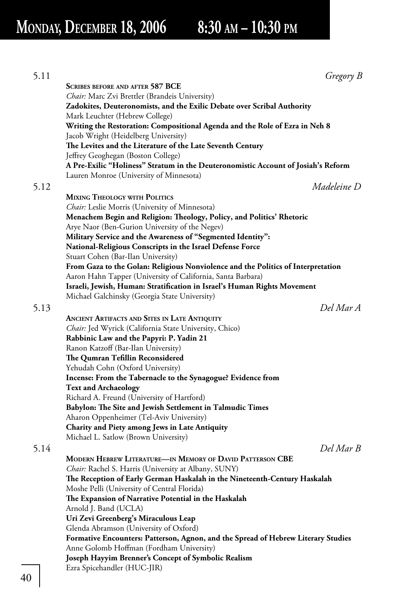5.11 *Gregory B*  **SCRIBES BEFORE AND AFTER 587 BCE** *Chair:* Marc Zvi Brettler (Brandeis University) **Zadokites, Deuteronomists, and the Exilic Debate over Scribal Authority** Mark Leuchter (Hebrew College)  **Writing the Restoration: Compositional Agenda and the Role of Ezra in Neh 8** Jacob Wright (Heidelberg University) The Levites and the Literature of the Late Seventh Century Jeffrey Geoghegan (Boston College)  **A Pre-Exilic "Holiness" Stratum in the Deuteronomistic Account of Josiah's Reform** Lauren Monroe (University of Minnesota) 5.12 *Madeleine D*  **MIXING THEOLOGY WITH POLITICS** *Chair:* Leslie Morris (University of Minnesota)  **Menachem Begin and Religion: Th eology, Policy, and Politics' Rhetoric** Arye Naor (Ben-Gurion University of the Negev) **Military Service and the Awareness of "Segmented Identity": National-Religious Conscripts in the Israel Defense Force** Stuart Cohen (Bar-Ilan University)  **From Gaza to the Golan: Religious Nonviolence and the Politics of Interpretation** Aaron Hahn Tapper (University of California, Santa Barbara)  **Israeli, Jewish, Human: Stratification in Israel's Human Rights Movement**  Michael Galchinsky (Georgia State University) 5.13 *Del Mar A*  **ANCIENT ARTIFACTS AND SITES IN LATE ANTIQUITY** *Chair:* Jed Wyrick (California State University, Chico)  **Rabbinic Law and the Papyri: P. Yadin 21** Ranon Katzoff (Bar-Ilan University) **The Qumran Tefillin Reconsidered**  Yehudah Cohn (Oxford University)  **Incense: From the Tabernacle to the Synagogue? Evidence from Text and Archaeology** Richard A. Freund (University of Hartford) **Babylon: The Site and Jewish Settlement in Talmudic Times**  Aharon Oppenheimer (Tel-Aviv University)  **Charity and Piety among Jews in Late Antiquity** Michael L. Satlow (Brown University) 5.14 *Del Mar B*  **MODERN HEBREW LITERATURE—IN MEMORY OF DAVID PATTERSON CBE** *Chair:* Rachel S. Harris (University at Albany, SUNY) **The Reception of Early German Haskalah in the Nineteenth-Century Haskalah**  Moshe Pelli (University of Central Florida) **The Expansion of Narrative Potential in the Haskalah**  Arnold J. Band (UCLA)  **Uri Zevi Greenberg's Miraculous Leap** Glenda Abramson (University of Oxford)  **Formative Encounters: Patterson, Agnon, and the Spread of Hebrew Literary Studies** Anne Golomb Hoffman (Fordham University) **Joseph Hayyim Brenner's Concept of Symbolic Realism** Ezra Spicehandler (HUC-JIR)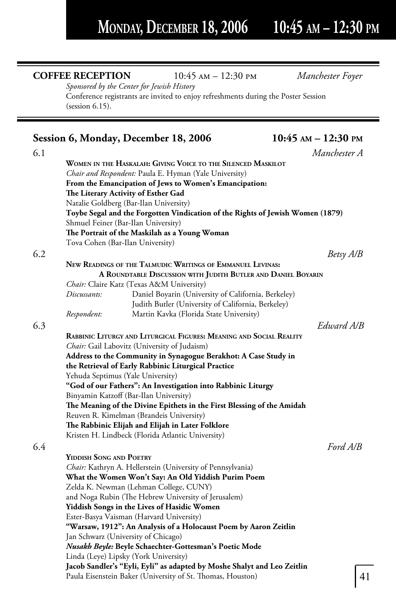=

**COFFEE RECEPTION** 10:45 am – 12:30 pm *Manchester Foyer*

|     | Sponsored by the Center for Jewish History<br>Conference registrants are invited to enjoy refreshments during the Poster Session<br>(session 6.15). |                         |
|-----|-----------------------------------------------------------------------------------------------------------------------------------------------------|-------------------------|
|     | Session 6, Monday, December 18, 2006                                                                                                                | $10:45$ AM $- 12:30$ PM |
| 6.1 |                                                                                                                                                     | Manchester A            |
|     | WOMEN IN THE HASKALAH: GIVING VOICE TO THE SILENCED MASKILOT                                                                                        |                         |
|     | Chair and Respondent: Paula E. Hyman (Yale University)                                                                                              |                         |
|     | From the Emancipation of Jews to Women's Emancipation:                                                                                              |                         |
|     | The Literary Activity of Esther Gad                                                                                                                 |                         |
|     | Natalie Goldberg (Bar-Ilan University)                                                                                                              |                         |
|     | Toybe Segal and the Forgotten Vindication of the Rights of Jewish Women (1879)<br>Shmuel Feiner (Bar-Ilan University)                               |                         |
|     | The Portrait of the Maskilah as a Young Woman                                                                                                       |                         |
|     | Tova Cohen (Bar-Ilan University)                                                                                                                    |                         |
| 6.2 |                                                                                                                                                     | Betsy A/B               |
|     | NEW READINGS OF THE TALMUDIC WRITINGS OF EMMANUEL LEVINAS:                                                                                          |                         |
|     | A ROUNDTABLE DISCUSSION WITH JUDITH BUTLER AND DANIEL BOYARIN                                                                                       |                         |
|     | Chair: Claire Katz (Texas A&M University)                                                                                                           |                         |
|     | Discussants:<br>Daniel Boyarin (University of California, Berkeley)                                                                                 |                         |
|     | Judith Butler (University of California, Berkeley)                                                                                                  |                         |
|     | Martin Kavka (Florida State University)<br>Respondent:                                                                                              |                         |
| 6.3 |                                                                                                                                                     | Edward A/B              |
|     | RABBINIC LITURGY AND LITURGICAL FIGURES: MEANING AND SOCIAL REALITY<br>Chair: Gail Labovitz (University of Judaism)                                 |                         |
|     | Address to the Community in Synagogue Berakhot: A Case Study in                                                                                     |                         |
|     | the Retrieval of Early Rabbinic Liturgical Practice                                                                                                 |                         |
|     | Yehuda Septimus (Yale University)                                                                                                                   |                         |
|     | "God of our Fathers": An Investigation into Rabbinic Liturgy                                                                                        |                         |
|     | Binyamin Katzoff (Bar-Ilan University)                                                                                                              |                         |
|     | The Meaning of the Divine Epithets in the First Blessing of the Amidah                                                                              |                         |
|     | Reuven R. Kimelman (Brandeis University)                                                                                                            |                         |
|     | The Rabbinic Elijah and Elijah in Later Folklore<br>Kristen H. Lindbeck (Florida Atlantic University)                                               |                         |
| 6.4 |                                                                                                                                                     | Ford A/B                |
|     | <b>YIDDISH SONG AND POETRY</b>                                                                                                                      |                         |
|     | Chair: Kathryn A. Hellerstein (University of Pennsylvania)                                                                                          |                         |
|     | What the Women Won't Say: An Old Yiddish Purim Poem                                                                                                 |                         |
|     | Zelda K. Newman (Lehman College, CUNY)                                                                                                              |                         |
|     | and Noga Rubin (The Hebrew University of Jerusalem)                                                                                                 |                         |
|     | Yiddish Songs in the Lives of Hasidic Women                                                                                                         |                         |
|     | Ester-Basya Vaisman (Harvard University)                                                                                                            |                         |
|     | "Warsaw, 1912": An Analysis of a Holocaust Poem by Aaron Zeitlin<br>Jan Schwarz (University of Chicago)                                             |                         |
|     | Nusakh Beyle: Beyle Schaechter-Gottesman's Poetic Mode                                                                                              |                         |
|     | Linda (Leye) Lipsky (York University)                                                                                                               |                         |
|     | Jacob Sandler's "Eyli, Eyli" as adapted by Moshe Shalyt and Leo Zeitlin                                                                             |                         |

Paula Eisenstein Baker (University of St. Thomas, Houston)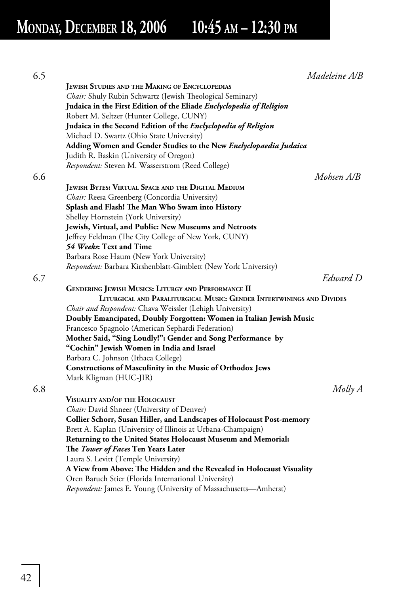| 6.5 |                                                                         | Madeleine A/B |
|-----|-------------------------------------------------------------------------|---------------|
|     | <b>JEWISH STUDIES AND THE MAKING OF ENCYCLOPEDIAS</b>                   |               |
|     | Chair: Shuly Rubin Schwartz (Jewish Theological Seminary)               |               |
|     | Judaica in the First Edition of the Eliade Enclyclopedia of Religion    |               |
|     | Robert M. Seltzer (Hunter College, CUNY)                                |               |
|     | Judaica in the Second Edition of the Enclyclopedia of Religion          |               |
|     | Michael D. Swartz (Ohio State University)                               |               |
|     | Adding Women and Gender Studies to the New Enclyclopaedia Judaica       |               |
|     | Judith R. Baskin (University of Oregon)                                 |               |
|     | Respondent: Steven M. Wasserstrom (Reed College)                        |               |
| 6.6 |                                                                         | Mohsen A/B    |
|     | JEWISH BYTES: VIRTUAL SPACE AND THE DIGITAL MEDIUM                      |               |
|     | Chair: Reesa Greenberg (Concordia University)                           |               |
|     | Splash and Flash! The Man Who Swam into History                         |               |
|     | Shelley Hornstein (York University)                                     |               |
|     | Jewish, Virtual, and Public: New Museums and Netroots                   |               |
|     | Jeffrey Feldman (The City College of New York, CUNY)                    |               |
|     | 54 Weeks: Text and Time                                                 |               |
|     | Barbara Rose Haum (New York University)                                 |               |
|     | Respondent: Barbara Kirshenblatt-Gimblett (New York University)         |               |
|     |                                                                         | Edward D      |
| 6.7 |                                                                         |               |
|     | <b>GENDERING JEWISH MUSICS: LITURGY AND PERFORMANCE II</b>              |               |
|     | LITURGICAL AND PARALITURGICAL MUSIC: GENDER INTERTWININGS AND DIVIDES   |               |
|     | Chair and Respondent: Chava Weissler (Lehigh University)                |               |
|     | Doubly Emancipated, Doubly Forgotten: Women in Italian Jewish Music     |               |
|     | Francesco Spagnolo (American Sephardi Federation)                       |               |
|     | Mother Said, "Sing Loudly!": Gender and Song Performance by             |               |
|     | "Cochin" Jewish Women in India and Israel                               |               |
|     | Barbara C. Johnson (Ithaca College)                                     |               |
|     | Constructions of Masculinity in the Music of Orthodox Jews              |               |
|     | Mark Kligman (HUC-JIR)                                                  |               |
| 6.8 |                                                                         | $Molly$ $A$   |
|     | VISUALITY AND/OF THE HOLOCAUST                                          |               |
|     | Chair: David Shneer (University of Denver)                              |               |
|     | Collier Schorr, Susan Hiller, and Landscapes of Holocaust Post-memory   |               |
|     | Brett A. Kaplan (University of Illinois at Urbana-Champaign)            |               |
|     | Returning to the United States Holocaust Museum and Memorial:           |               |
|     | The Tower of Faces Ten Years Later                                      |               |
|     | Laura S. Levitt (Temple University)                                     |               |
|     | A View from Above: The Hidden and the Revealed in Holocaust Visuality   |               |
|     | Oren Baruch Stier (Florida International University)                    |               |
|     | <i>Respondent:</i> James E. Young (University of Massachusetts—Amherst) |               |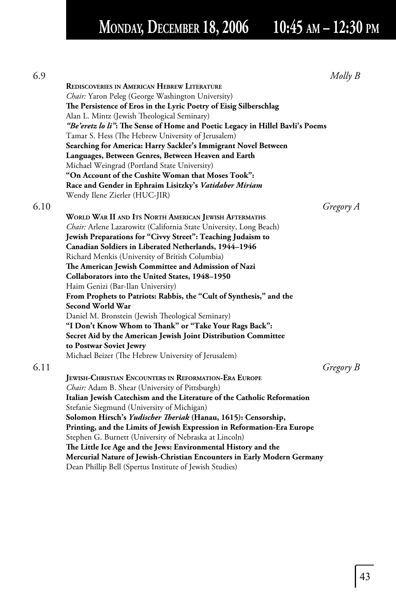| 6.9  |                                                                               | $Molly$ $B$ |
|------|-------------------------------------------------------------------------------|-------------|
|      | <b>REDISCOVERIES IN AMERICAN HEBREW LITERATURE</b>                            |             |
|      | Chair: Yaron Peleg (George Washington University)                             |             |
|      | The Persistence of Eros in the Lyric Poetry of Eisig Silberschlag             |             |
|      | Alan L. Mintz (Jewish Theological Seminary)                                   |             |
|      | "Be'eretz lo li": The Sense of Home and Poetic Legacy in Hillel Bavli's Poems |             |
|      | Tamar S. Hess (The Hebrew University of Jerusalem)                            |             |
|      | Searching for America: Harry Sackler's Immigrant Novel Between                |             |
|      | Languages, Between Genres, Between Heaven and Earth                           |             |
|      | Michael Weingrad (Portland State University)                                  |             |
|      | "On Account of the Cushite Woman that Moses Took":                            |             |
|      | Race and Gender in Ephraim Lisitzky's Vatidaber Miriam                        |             |
|      | Wendy Ilene Zierler (HUC-JIR)                                                 |             |
| 6.10 |                                                                               | Gregory A   |
|      | WORLD WAR II AND ITS NORTH AMERICAN JEWISH AFTERMATHS                         |             |
|      | Chair: Arlene Lazarowitz (California State University, Long Beach)            |             |
|      | Jewish Preparations for "Civvy Street": Teaching Judaism to                   |             |
|      | Canadian Soldiers in Liberated Netherlands, 1944-1946                         |             |
|      | Richard Menkis (University of British Columbia)                               |             |
|      | The American Jewish Committee and Admission of Nazi                           |             |
|      | Collaborators into the United States, 1948-1950                               |             |
|      | Haim Genizi (Bar-Ilan University)                                             |             |
|      | From Prophets to Patriots: Rabbis, the "Cult of Synthesis," and the           |             |
|      | Second World War                                                              |             |
|      | Daniel M. Bronstein (Jewish Theological Seminary)                             |             |
|      | "I Don't Know Whom to Thank" or "Take Your Rags Back":                        |             |
|      | Secret Aid by the American Jewish Joint Distribution Committee                |             |
|      | to Postwar Soviet Jewry                                                       |             |
|      | Michael Beizer (The Hebrew University of Jerusalem)                           |             |
| 6.11 |                                                                               | Gregory B   |
|      | <b>JEWISH-CHRISTIAN ENCOUNTERS IN REFORMATION-ERA EUROPE</b>                  |             |
|      | Chair: Adam B. Shear (University of Pittsburgh)                               |             |
|      | Italian Jewish Catechism and the Literature of the Catholic Reformation       |             |
|      | Stefanie Siegmund (University of Michigan)                                    |             |
|      | Solomon Hirsch's Yudischer Theriak (Hanau, 1615): Censorship,                 |             |
|      | Printing, and the Limits of Jewish Expression in Reformation-Era Europe       |             |
|      | Stephen G. Burnett (University of Nebraska at Lincoln)                        |             |
|      | The Little Ice Age and the Jews: Environmental History and the                |             |
|      | Mercurial Nature of Jewish-Christian Encounters in Early Modern Germany       |             |

Dean Phillip Bell (Spertus Institute of Jewish Studies)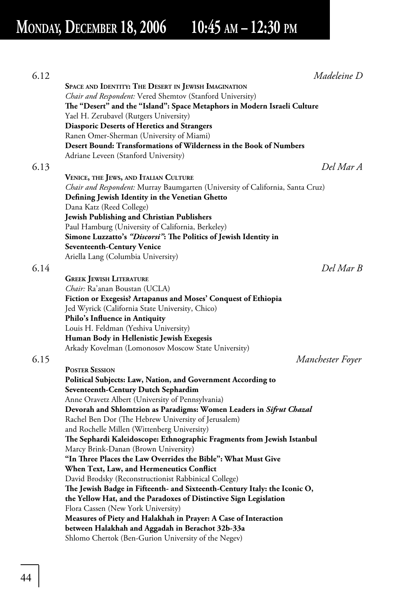| 6.12 | Madeleine D                                                                       |
|------|-----------------------------------------------------------------------------------|
|      | SPACE AND IDENTITY: THE DESERT IN JEWISH IMAGINATION                              |
|      | Chair and Respondent: Vered Shemtov (Stanford University)                         |
|      | The "Desert" and the "Island": Space Metaphors in Modern Israeli Culture          |
|      | Yael H. Zerubavel (Rutgers University)                                            |
|      | <b>Diasporic Deserts of Heretics and Strangers</b>                                |
|      | Ranen Omer-Sherman (University of Miami)                                          |
|      | Desert Bound: Transformations of Wilderness in the Book of Numbers                |
|      | Adriane Leveen (Stanford University)                                              |
| 6.13 | Del Mar A                                                                         |
|      | VENICE, THE JEWS, AND ITALIAN CULTURE                                             |
|      | Chair and Respondent: Murray Baumgarten (University of California, Santa Cruz)    |
|      | Defining Jewish Identity in the Venetian Ghetto                                   |
|      | Dana Katz (Reed College)                                                          |
|      | <b>Jewish Publishing and Christian Publishers</b>                                 |
|      | Paul Hamburg (University of California, Berkeley)                                 |
|      | Simone Luzzatto's "Discorsi": The Politics of Jewish Identity in                  |
|      | <b>Seventeenth-Century Venice</b>                                                 |
|      | Ariella Lang (Columbia University)                                                |
| 6.14 | Del Mar B                                                                         |
|      | <b>GREEK JEWISH LITERATURE</b>                                                    |
|      | Chair: Ra'anan Boustan (UCLA)                                                     |
|      | Fiction or Exegesis? Artapanus and Moses' Conquest of Ethiopia                    |
|      | Jed Wyrick (California State University, Chico)<br>Philo's Influence in Antiquity |
|      | Louis H. Feldman (Yeshiva University)                                             |
|      | Human Body in Hellenistic Jewish Exegesis                                         |
|      | Arkady Kovelman (Lomonosov Moscow State University)                               |
| 6.15 | Manchester Foyer                                                                  |
|      | <b>POSTER SESSION</b>                                                             |
|      | Political Subjects: Law, Nation, and Government According to                      |
|      | <b>Seventeenth-Century Dutch Sephardim</b>                                        |
|      | Anne Oravetz Albert (University of Pennsylvania)                                  |
|      | Devorah and Shlomtzion as Paradigms: Women Leaders in Sifrut Chazal               |
|      | Rachel Ben Dor (The Hebrew University of Jerusalem)                               |
|      | and Rochelle Millen (Wittenberg University)                                       |
|      | The Sephardi Kaleidoscope: Ethnographic Fragments from Jewish Istanbul            |
|      | Marcy Brink-Danan (Brown University)                                              |
|      | "In Three Places the Law Overrides the Bible": What Must Give                     |
|      | When Text, Law, and Hermeneutics Conflict                                         |
|      | David Brodsky (Reconstructionist Rabbinical College)                              |
|      | The Jewish Badge in Fifteenth- and Sixteenth-Century Italy: the Iconic O,         |
|      | the Yellow Hat, and the Paradoxes of Distinctive Sign Legislation                 |
|      | Flora Cassen (New York University)                                                |
|      | Measures of Piety and Halakhah in Prayer: A Case of Interaction                   |
|      | between Halakhah and Aggadah in Berachot 32b-33a                                  |
|      | Shlomo Chertok (Ben-Gurion University of the Negev)                               |
|      |                                                                                   |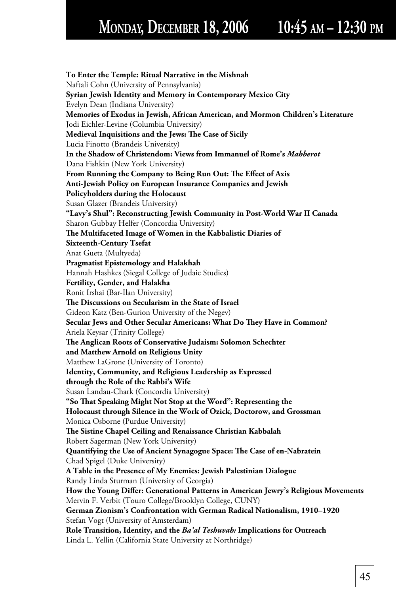**To Enter the Temple: Ritual Narrative in the Mishnah** Naftali Cohn (University of Pennsylvania)  **Syrian Jewish Identity and Memory in Contemporary Mexico City** Evelyn Dean (Indiana University)  **Memories of Exodus in Jewish, African American, and Mormon Children's Literature** Jodi Eichler-Levine (Columbia University) **Medieval Inquisitions and the Jews: The Case of Sicily**  Lucia Finotto (Brandeis University)  **In the Shadow of Christendom: Views from Immanuel of Rome's** *Mahberot* Dana Fishkin (New York University) **From Running the Company to Being Run Out: The Effect of Axis Anti-Jewish Policy on European Insurance Companies and Jewish Policyholders during the Holocaust** Susan Glazer (Brandeis University)  **"Lavy's Shul": Reconstructing Jewish Community in Post-World War II Canada** Sharon Gubbay Helfer (Concordia University) **The Multifaceted Image of Women in the Kabbalistic Diaries of Sixteenth-Century Tsefat** Anat Gueta (Multyeda)  **Pragmatist Epistemology and Halakhah** Hannah Hashkes (Siegal College of Judaic Studies)  **Fertility, Gender, and Halakha** Ronit Irshai (Bar-Ilan University) The Discussions on Secularism in the State of Israel Gideon Katz (Ben-Gurion University of the Negev) **Secular Jews and Other Secular Americans: What Do They Have in Common?**  Ariela Keysar (Trinity College) **The Anglican Roots of Conservative Judaism: Solomon Schechter and Matthew Arnold on Religious Unity** Matthew LaGrone (University of Toronto)  **Identity, Community, and Religious Leadership as Expressed through the Role of the Rabbi's Wife** Susan Landau-Chark (Concordia University)  **"So Th at Speaking Might Not Stop at the Word": Representing the Holocaust through Silence in the Work of Ozick, Doctorow, and Grossman** Monica Osborne (Purdue University) **The Sistine Chapel Ceiling and Renaissance Christian Kabbalah**  Robert Sagerman (New York University) Quantifying the Use of Ancient Synagogue Space: The Case of en-Nabratein Chad Spigel (Duke University)  **A Table in the Presence of My Enemies: Jewish Palestinian Dialogue** Randy Linda Sturman (University of Georgia) How the Young Differ: Generational Patterns in American Jewry's Religious Movements Mervin F. Verbit (Touro College/Brooklyn College, CUNY)  **German Zionism's Confrontation with German Radical Nationalism, 1910–1920** Stefan Vogt (University of Amsterdam)  **Role Transition, Identity, and the** *Ba'al Teshuvah:* **Implications for Outreach** Linda L. Yellin (California State University at Northridge)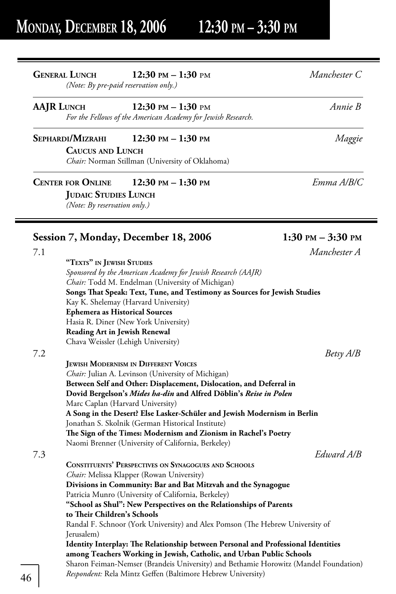## **GENERAL LUNCH 12:30 PM – 1:30** pm *Manchester C*

*(Note: By pre-paid reservation only.)* 

## **AAJR LUNCH 12:30 PM – 1:30** pm *Annie B*

*For the Fellows of the American Academy for Jewish Research.*

## **SEPHARDI/MIZRAHI 12:30 PM – 1:30 PM** *Maggie*

 **CAUCUS AND LUNCH** *Chair:* Norman Stillman (University of Oklahoma)

## **CENTER FOR ONLINE 12:30 PM – 1:30 PM** *Emma A/B/C*

**JUDAIC STUDIES LUNCH** *(Note: By reservation only.)* 

## Session 7, Monday, December 18, 2006 1:30 PM – 3:30 PM

|                                             |                                                                                      | Manchester A |
|---------------------------------------------|--------------------------------------------------------------------------------------|--------------|
| "TEXTS" IN JEWISH STUDIES                   |                                                                                      |              |
|                                             | Sponsored by the American Academy for Jewish Research (AAJR)                         |              |
|                                             | Chair: Todd M. Endelman (University of Michigan)                                     |              |
|                                             | Songs That Speak: Text, Tune, and Testimony as Sources for Jewish Studies            |              |
| Kay K. Shelemay (Harvard University)        |                                                                                      |              |
| <b>Ephemera as Historical Sources</b>       |                                                                                      |              |
| Hasia R. Diner (New York University)        |                                                                                      |              |
| <b>Reading Art in Jewish Renewal</b>        |                                                                                      |              |
| Chava Weissler (Lehigh University)          |                                                                                      |              |
|                                             |                                                                                      | Betsy A/B    |
| <b>JEWISH MODERNISM IN DIFFERENT VOICES</b> |                                                                                      |              |
|                                             | <i>Chair:</i> Julian A. Levinson (University of Michigan)                            |              |
|                                             | Between Self and Other: Displacement, Dislocation, and Deferral in                   |              |
|                                             | Dovid Bergelson's Mides ha-din and Alfred Döblin's Reise in Polen                    |              |
| Marc Caplan (Harvard University)            |                                                                                      |              |
|                                             | A Song in the Desert? Else Lasker-Schüler and Jewish Modernism in Berlin             |              |
|                                             | Jonathan S. Skolnik (German Historical Institute)                                    |              |
|                                             | The Sign of the Times: Modernism and Zionism in Rachel's Poetry                      |              |
|                                             | Naomi Brenner (University of California, Berkeley)                                   |              |
|                                             |                                                                                      | Edward A/R   |
|                                             | <b>CONSTITUENTS' PERSPECTIVES ON SYNAGOGUES AND SCHOOLS</b>                          |              |
| Chair: Melissa Klapper (Rowan University)   |                                                                                      |              |
|                                             | Divisions in Community: Bar and Bat Mitzvah and the Synagogue                        |              |
|                                             | Patricia Munro (University of California, Berkeley)                                  |              |
|                                             | "School as Shul": New Perspectives on the Relationships of Parents                   |              |
| to Their Children's Schools                 |                                                                                      |              |
|                                             | Randal F. Schnoor (York University) and Alex Pomson (The Hebrew University of        |              |
| Jerusalem)                                  |                                                                                      |              |
|                                             | Identity Interplay: The Relationship between Personal and Professional Identities    |              |
|                                             | among Teachers Working in Jewish, Catholic, and Urban Public Schools                 |              |
|                                             | Sharon Feiman-Nemser (Brandeis University) and Bethamie Horowitz (Mandel Foundation) |              |
|                                             | Respondent: Rela Mintz Geffen (Baltimore Hebrew University)                          |              |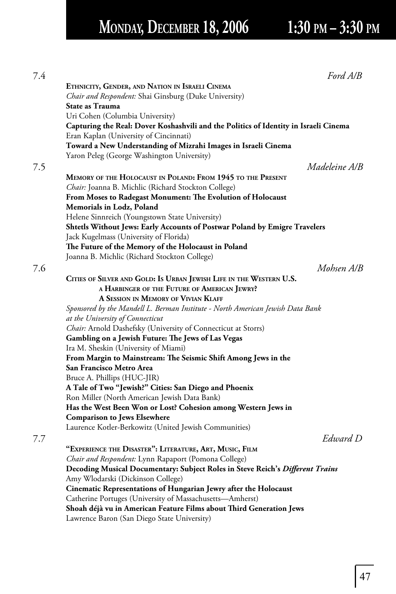# **MONDAY, DECEMBER 18, 2006 1:30 PM – 3:30 PM**

| Ford A/B                                                                             |  |
|--------------------------------------------------------------------------------------|--|
| ETHNICITY, GENDER, AND NATION IN ISRAELI CINEMA                                      |  |
| Chair and Respondent: Shai Ginsburg (Duke University)                                |  |
| State as Trauma                                                                      |  |
| Uri Cohen (Columbia University)                                                      |  |
| Capturing the Real: Dover Koshashvili and the Politics of Identity in Israeli Cinema |  |
| Eran Kaplan (University of Cincinnati)                                               |  |
| Toward a New Understanding of Mizrahi Images in Israeli Cinema                       |  |
| Yaron Peleg (George Washington University)                                           |  |
| Madeleine A/B                                                                        |  |
|                                                                                      |  |
| MEMORY OF THE HOLOCAUST IN POLAND: FROM 1945 TO THE PRESENT                          |  |
| Chair: Joanna B. Michlic (Richard Stockton College)                                  |  |
| <b>From Moses to Radegast Monument: The Evolution of Holocaust</b>                   |  |
| Memorials in Lodz, Poland                                                            |  |
| Helene Sinnreich (Youngstown State University)                                       |  |
| Shtetls Without Jews: Early Accounts of Postwar Poland by Emigre Travelers           |  |
| Jack Kugelmass (University of Florida)                                               |  |
| The Future of the Memory of the Holocaust in Poland                                  |  |
| Joanna B. Michlic (Richard Stockton College)                                         |  |
| Mohsen A/B                                                                           |  |
| CITIES OF SILVER AND GOLD: IS URBAN JEWISH LIFE IN THE WESTERN U.S.                  |  |
| A HARBINGER OF THE FUTURE OF AMERICAN JEWRY?                                         |  |
| A SESSION IN MEMORY OF VIVIAN KLAFF                                                  |  |
| Sponsored by the Mandell L. Berman Institute - North American Jewish Data Bank       |  |
| at the University of Connecticut                                                     |  |
| Chair: Arnold Dashefsky (University of Connecticut at Storrs)                        |  |
| Gambling on a Jewish Future: The Jews of Las Vegas                                   |  |
| Ira M. Sheskin (University of Miami)                                                 |  |
| From Margin to Mainstream: The Seismic Shift Among Jews in the                       |  |
| San Francisco Metro Area                                                             |  |
| Bruce A. Phillips (HUC-JIR)                                                          |  |
| A Tale of Two "Jewish?" Cities: San Diego and Phoenix                                |  |
| Ron Miller (North American Jewish Data Bank)                                         |  |
| Has the West Been Won or Lost? Cohesion among Western Jews in                        |  |
| <b>Comparison to Jews Elsewhere</b>                                                  |  |
| Laurence Kotler-Berkowitz (United Jewish Communities)                                |  |
| Edward D                                                                             |  |
| "EXPERIENCE THE DISASTER": LITERATURE, ART, MUSIC, FILM                              |  |
| Chair and Respondent: Lynn Rapaport (Pomona College)                                 |  |
| Decoding Musical Documentary: Subject Roles in Steve Reich's Different Trains        |  |
| Amy Wlodarski (Dickinson College)                                                    |  |
| Cinematic Representations of Hungarian Jewry after the Holocaust                     |  |
| Catherine Portuges (University of Massachusetts-Amherst)                             |  |
| Shoah déjà vu in American Feature Films about Third Generation Jews                  |  |
| Lawrence Baron (San Diego State University)                                          |  |
|                                                                                      |  |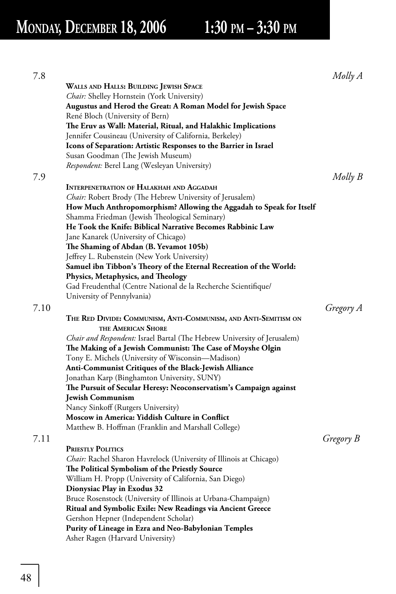# **MONDAY, DECEMBER 18, 2006 1:30 PM – 3:30 PM**

| WALLS AND HALLS: BUILDING JEWISH SPACE<br>Chair: Shelley Hornstein (York University)<br>Augustus and Herod the Great: A Roman Model for Jewish Space<br>René Bloch (University of Bern)<br>The Eruv as Wall: Material, Ritual, and Halakhic Implications | Molly A   |
|----------------------------------------------------------------------------------------------------------------------------------------------------------------------------------------------------------------------------------------------------------|-----------|
|                                                                                                                                                                                                                                                          |           |
|                                                                                                                                                                                                                                                          |           |
|                                                                                                                                                                                                                                                          |           |
|                                                                                                                                                                                                                                                          |           |
|                                                                                                                                                                                                                                                          |           |
| Jennifer Cousineau (University of California, Berkeley)                                                                                                                                                                                                  |           |
| Icons of Separation: Artistic Responses to the Barrier in Israel                                                                                                                                                                                         |           |
| Susan Goodman (The Jewish Museum)                                                                                                                                                                                                                        |           |
| <i>Respondent:</i> Berel Lang (Wesleyan University)                                                                                                                                                                                                      |           |
| 7.9                                                                                                                                                                                                                                                      | Molly B   |
| <b>INTERPENETRATION OF HALAKHAH AND AGGADAH</b>                                                                                                                                                                                                          |           |
| <i>Chair:</i> Robert Brody (The Hebrew University of Jerusalem)                                                                                                                                                                                          |           |
| How Much Anthropomorphism? Allowing the Aggadah to Speak for Itself                                                                                                                                                                                      |           |
| Shamma Friedman (Jewish Theological Seminary)                                                                                                                                                                                                            |           |
| He Took the Knife: Biblical Narrative Becomes Rabbinic Law                                                                                                                                                                                               |           |
| Jane Kanarek (University of Chicago)                                                                                                                                                                                                                     |           |
| The Shaming of Abdan (B. Yevamot 105b)                                                                                                                                                                                                                   |           |
| Jeffrey L. Rubenstein (New York University)                                                                                                                                                                                                              |           |
| Samuel ibn Tibbon's Theory of the Eternal Recreation of the World:                                                                                                                                                                                       |           |
| Physics, Metaphysics, and Theology                                                                                                                                                                                                                       |           |
| Gad Freudenthal (Centre National de la Recherche Scientifique/                                                                                                                                                                                           |           |
| University of Pennylvania)                                                                                                                                                                                                                               |           |
| 7.10                                                                                                                                                                                                                                                     | Gregory A |
| THE RED DIVIDE: COMMUNISM, ANTI-COMMUNISM, AND ANTI-SEMITISM ON                                                                                                                                                                                          |           |
| THE AMERICAN SHORE                                                                                                                                                                                                                                       |           |
|                                                                                                                                                                                                                                                          |           |
| <i>Chair and Respondent:</i> Israel Bartal (The Hebrew University of Jerusalem)                                                                                                                                                                          |           |
| The Making of a Jewish Communist: The Case of Moyshe Olgin<br>Tony E. Michels (University of Wisconsin—Madison)                                                                                                                                          |           |
| Anti-Communist Critiques of the Black-Jewish Alliance                                                                                                                                                                                                    |           |
| Jonathan Karp (Binghamton University, SUNY)                                                                                                                                                                                                              |           |
| The Pursuit of Secular Heresy: Neoconservatism's Campaign against                                                                                                                                                                                        |           |
| <b>Jewish Communism</b>                                                                                                                                                                                                                                  |           |
| Nancy Sinkoff (Rutgers University)                                                                                                                                                                                                                       |           |
| Moscow in America: Yiddish Culture in Conflict                                                                                                                                                                                                           |           |
| Matthew B. Hoffman (Franklin and Marshall College)                                                                                                                                                                                                       |           |
|                                                                                                                                                                                                                                                          |           |
| 7.11                                                                                                                                                                                                                                                     | Gregory B |
| <b>PRIESTLY POLITICS</b>                                                                                                                                                                                                                                 |           |
| <i>Chair:</i> Rachel Sharon Havrelock (University of Illinois at Chicago)                                                                                                                                                                                |           |
| The Political Symbolism of the Priestly Source                                                                                                                                                                                                           |           |
| William H. Propp (University of California, San Diego)                                                                                                                                                                                                   |           |
| Dionysiac Play in Exodus 32                                                                                                                                                                                                                              |           |
| Bruce Rosenstock (University of Illinois at Urbana-Champaign)                                                                                                                                                                                            |           |
| <b>Ritual and Symbolic Exile: New Readings via Ancient Greece</b>                                                                                                                                                                                        |           |
|                                                                                                                                                                                                                                                          |           |
|                                                                                                                                                                                                                                                          |           |
|                                                                                                                                                                                                                                                          |           |
| Gershon Hepner (Independent Scholar)<br>Purity of Lineage in Ezra and Neo-Babylonian Temples<br>Asher Ragen (Harvard University)                                                                                                                         |           |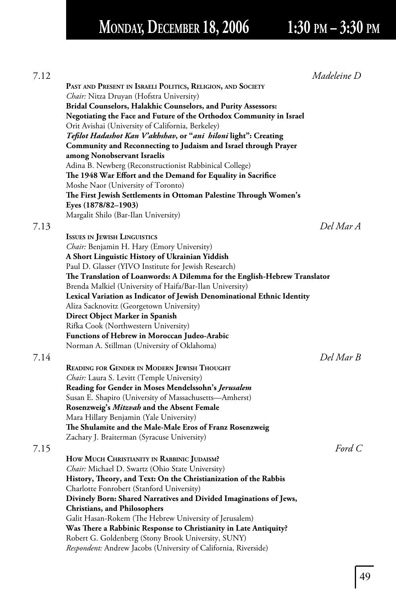# **MONDAY, DECEMBER 18, 2006 1:30 PM – 3:30 PM**

| 7.12                                                                                                | Madeleine D |
|-----------------------------------------------------------------------------------------------------|-------------|
| PAST AND PRESENT IN ISRAELI POLITICS, RELIGION, AND SOCIETY                                         |             |
| Chair: Nitza Druyan (Hofstra University)                                                            |             |
| Bridal Counselors, Halakhic Counselors, and Purity Assessors:                                       |             |
| Negotiating the Face and Future of the Orthodox Community in Israel                                 |             |
| Orit Avishai (University of California, Berkeley)                                                   |             |
| Tefilot Hadashot Kan V'akhshav, or "ani hiloni light": Creating                                     |             |
| Community and Reconnecting to Judaism and Israel through Prayer                                     |             |
| among Nonobservant Israelis                                                                         |             |
| Adina B. Newberg (Reconstructionist Rabbinical College)                                             |             |
| The 1948 War Effort and the Demand for Equality in Sacrifice                                        |             |
| Moshe Naor (University of Toronto)                                                                  |             |
| The First Jewish Settlements in Ottoman Palestine Through Women's                                   |             |
| Eyes (1878/82–1903)                                                                                 |             |
| Margalit Shilo (Bar-Ilan University)                                                                |             |
| 7.13                                                                                                | Del Mar A   |
| <b>ISSUES IN JEWISH LINGUISTICS</b>                                                                 |             |
| Chair: Benjamin H. Hary (Emory University)                                                          |             |
| A Short Linguistic History of Ukrainian Yiddish                                                     |             |
| Paul D. Glasser (YIVO Institute for Jewish Research)                                                |             |
| The Translation of Loanwords: A Dilemma for the English-Hebrew Translator                           |             |
| Brenda Malkiel (University of Haifa/Bar-Ilan University)                                            |             |
| Lexical Variation as Indicator of Jewish Denominational Ethnic Identity                             |             |
| Aliza Sacknovitz (Georgetown University)                                                            |             |
| Direct Object Marker in Spanish                                                                     |             |
| Rifka Cook (Northwestern University)                                                                |             |
| <b>Functions of Hebrew in Moroccan Judeo-Arabic</b>                                                 |             |
| Norman A. Stillman (University of Oklahoma)                                                         |             |
| 7.14                                                                                                | Del Mar B   |
|                                                                                                     |             |
| READING FOR GENDER IN MODERN JEWISH THOUGHT                                                         |             |
| Chair: Laura S. Levitt (Temple University)                                                          |             |
| Reading for Gender in Moses Mendelssohn's Jerusalem                                                 |             |
| Susan E. Shapiro (University of Massachusetts—Amherst)                                              |             |
| Rosenzweig's Mitzvah and the Absent Female                                                          |             |
| Mara Hillary Benjamin (Yale University)<br>The Shulamite and the Male-Male Eros of Franz Rosenzweig |             |
|                                                                                                     |             |
| Zachary J. Braiterman (Syracuse University)                                                         |             |
| 7.15                                                                                                | Ford $C$    |
| HOW MUCH CHRISTIANITY IN RABBINIC JUDAISM?                                                          |             |
| Chair: Michael D. Swartz (Ohio State University)                                                    |             |
| History, Theory, and Text: On the Christianization of the Rabbis                                    |             |
| Charlotte Fonrobert (Stanford University)                                                           |             |
| Divinely Born: Shared Narratives and Divided Imaginations of Jews,                                  |             |
| <b>Christians, and Philosophers</b>                                                                 |             |
| Galit Hasan-Rokem (The Hebrew University of Jerusalem)                                              |             |
| Was There a Rabbinic Response to Christianity in Late Antiquity?                                    |             |
| Robert G. Goldenberg (Stony Brook University, SUNY)                                                 |             |
| Respondent: Andrew Jacobs (University of California, Riverside)                                     |             |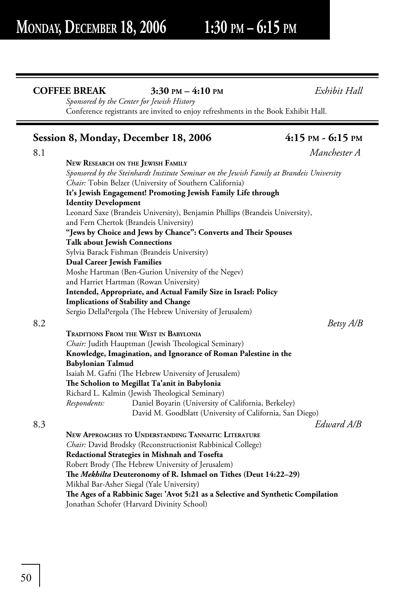## **COFFEE BREAK 3:30 PM – 4:10 PM** *Exhibit Hall*

 *Sponsored by the Center for Jewish History* Conference registrants are invited to enjoy refreshments in the Book Exhibit Hall.

## **Session 8, Monday, December 18, 2006** 4:15 PM - 6:15 PM

8.1 *Manchester A* **NEW RESEARCH ON THE JEWISH FAMILY**  *Sponsored by the Steinhardt Institute Seminar on the Jewish Family at Brandeis University Chair:* Tobin Belzer (University of Southern California)  **It's Jewish Engagement! Promoting Jewish Family Life through Identity Development** Leonard Saxe (Brandeis University), Benjamin Phillips (Brandeis University), and Fern Chertok (Brandeis University) "Jews by Choice and Jews by Chance": Converts and Their Spouses  **Talk about Jewish Connections** Sylvia Barack Fishman (Brandeis University)  **Dual Career Jewish Families** Moshe Hartman (Ben-Gurion University of the Negev) and Harriet Hartman (Rowan University)  **Intended, Appropriate, and Actual Family Size in Israel: Policy Implications of Stability and Change** Sergio DellaPergola (The Hebrew University of Jerusalem) 8.2 *Betsy A/B*  **TRADITIONS FROM THE WEST IN BABYLONIA** *Chair:* Judith Hauptman (Jewish Theological Seminary)  **Knowledge, Imagination, and Ignorance of Roman Palestine in the Babylonian Talmud** Isaiah M. Gafni (The Hebrew University of Jerusalem) **The Scholion to Megillat Ta'anit in Babylonia** Richard L. Kalmin (Jewish Theological Seminary) *Respondents:* Daniel Boyarin (University of California, Berkeley) David M. Goodblatt (University of California, San Diego) 8.3 *Edward A/B*  **NEW APPROACHES TO UNDERSTANDING TANNAITIC LITERATURE** *Chair:* David Brodsky (Reconstructionist Rabbinical College)  **Redactional Strategies in Mishnah and Tosefta** Robert Brody (The Hebrew University of Jerusalem) The *Mekhilta* Deuteronomy of R. Ishmael on Tithes (Deut 14:22–29) Mikhal Bar-Asher Siegal (Yale University) The Ages of a Rabbinic Sage: 'Avot 5:21 as a Selective and Synthetic Compilation Jonathan Schofer (Harvard Divinity School)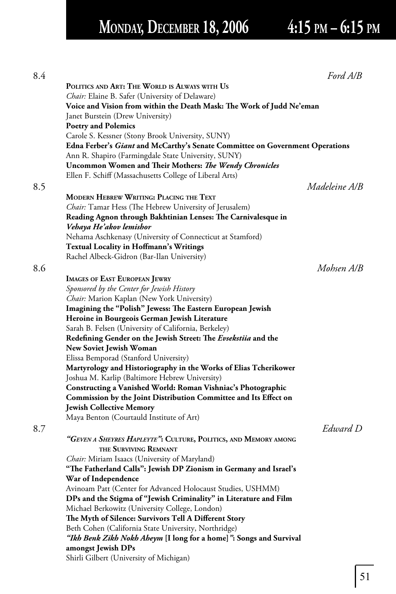# **MONDAY, DECEMBER 18, 2006 4:15 PM – 6:15 PM**

|                                                                                                                    | Ford A/B      |
|--------------------------------------------------------------------------------------------------------------------|---------------|
| POLITICS AND ART: THE WORLD IS ALWAYS WITH US                                                                      |               |
| Chair: Elaine B. Safer (University of Delaware)                                                                    |               |
| Voice and Vision from within the Death Mask: The Work of Judd Ne'eman                                              |               |
| Janet Burstein (Drew University)                                                                                   |               |
| <b>Poetry and Polemics</b>                                                                                         |               |
| Carole S. Kessner (Stony Brook University, SUNY)                                                                   |               |
| Edna Ferber's Giant and McCarthy's Senate Committee on Government Operations                                       |               |
| Ann R. Shapiro (Farmingdale State University, SUNY)                                                                |               |
| Uncommon Women and Their Mothers: The Wendy Chronicles                                                             |               |
| Ellen F. Schiff (Massachusetts College of Liberal Arts)                                                            |               |
|                                                                                                                    | Madeleine A/B |
|                                                                                                                    |               |
| MODERN HEBREW WRITING: PLACING THE TEXT                                                                            |               |
| Chair: Tamar Hess (The Hebrew University of Jerusalem)                                                             |               |
| Reading Agnon through Bakhtinian Lenses: The Carnivalesque in<br>Vehaya He'akov lemishor                           |               |
| Nehama Aschkenasy (University of Connecticut at Stamford)                                                          |               |
| <b>Textual Locality in Hoffmann's Writings</b>                                                                     |               |
| Rachel Albeck-Gidron (Bar-Ilan University)                                                                         |               |
|                                                                                                                    | Mohsen A/B    |
|                                                                                                                    |               |
| <b>IMAGES OF EAST EUROPEAN JEWRY</b>                                                                               |               |
| Sponsored by the Center for Jewish History                                                                         |               |
| Chair: Marion Kaplan (New York University)                                                                         |               |
| Imagining the "Polish" Jewess: The Eastern European Jewish                                                         |               |
| Heroine in Bourgeois German Jewish Literature                                                                      |               |
| Sarah B. Felsen (University of California, Berkeley)                                                               |               |
| Redefining Gender on the Jewish Street: The Evsekstiia and the                                                     |               |
| <b>New Soviet Jewish Woman</b>                                                                                     |               |
| Elissa Bemporad (Stanford University)                                                                              |               |
| Martyrology and Historiography in the Works of Elias Tcherikower<br>Joshua M. Karlip (Baltimore Hebrew University) |               |
| Constructing a Vanished World: Roman Vishniac's Photographic                                                       |               |
| Commission by the Joint Distribution Committee and Its Effect on                                                   |               |
| <b>Jewish Collective Memory</b>                                                                                    |               |
| Maya Benton (Courtauld Institute of Art)                                                                           |               |
|                                                                                                                    | Edward D      |
|                                                                                                                    |               |
| "GEVEN A SHEYRES HAPLEYTE": CULTURE, POLITICS, AND MEMORY AMONG                                                    |               |
| THE SURVIVING REMNANT                                                                                              |               |
| <i>Chair:</i> Miriam Isaacs (University of Maryland)                                                               |               |
| "The Fatherland Calls": Jewish DP Zionism in Germany and Israel's                                                  |               |
| War of Independence                                                                                                |               |
| Avinoam Patt (Center for Advanced Holocaust Studies, USHMM)                                                        |               |
| DPs and the Stigma of "Jewish Criminality" in Literature and Film                                                  |               |
| Michael Berkowitz (University College, London)                                                                     |               |
| The Myth of Silence: Survivors Tell A Different Story                                                              |               |
| Beth Cohen (California State University, Northridge)                                                               |               |
| "Ikh Benk Zikh Nokh Aheym [I long for a home]": Songs and Survival                                                 |               |
| amongst Jewish DPs                                                                                                 |               |
| Shirli Gilbert (University of Michigan)                                                                            |               |
|                                                                                                                    |               |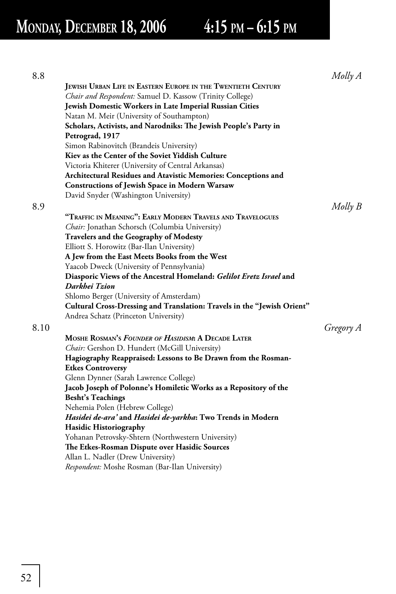# **MONDAY, DECEMBER 18, 2006 4:15 PM – 6:15 PM**

| 8.8  |                                                                         | Molly A     |
|------|-------------------------------------------------------------------------|-------------|
|      | JEWISH URBAN LIFE IN EASTERN EUROPE IN THE TWENTIETH CENTURY            |             |
|      | Chair and Respondent: Samuel D. Kassow (Trinity College)                |             |
|      | <b>Jewish Domestic Workers in Late Imperial Russian Cities</b>          |             |
|      | Natan M. Meir (University of Southampton)                               |             |
|      | Scholars, Activists, and Narodniks: The Jewish People's Party in        |             |
|      | Petrograd, 1917                                                         |             |
|      | Simon Rabinovitch (Brandeis University)                                 |             |
|      | Kiev as the Center of the Soviet Yiddish Culture                        |             |
|      | Victoria Khiterer (University of Central Arkansas)                      |             |
|      | Architectural Residues and Atavistic Memories: Conceptions and          |             |
|      | <b>Constructions of Jewish Space in Modern Warsaw</b>                   |             |
|      | David Snyder (Washington University)                                    |             |
| 8.9  |                                                                         | $Molly$ $B$ |
|      | "TRAFFIC IN MEANING": EARLY MODERN TRAVELS AND TRAVELOGUES              |             |
|      | Chair: Jonathan Schorsch (Columbia University)                          |             |
|      | Travelers and the Geography of Modesty                                  |             |
|      | Elliott S. Horowitz (Bar-Ilan University)                               |             |
|      | A Jew from the East Meets Books from the West                           |             |
|      | Yaacob Dweck (University of Pennsylvania)                               |             |
|      | Diasporic Views of the Ancestral Homeland: Gelilot Eretz Israel and     |             |
|      | Darkhei Tzion                                                           |             |
|      | Shlomo Berger (University of Amsterdam)                                 |             |
|      | Cultural Cross-Dressing and Translation: Travels in the "Jewish Orient" |             |
|      | Andrea Schatz (Princeton University)                                    |             |
| 8.10 |                                                                         | Gregory A   |
|      | MOSHE ROSMAN'S FOUNDER OF HASIDISM: A DECADE LATER                      |             |
|      | Chair: Gershon D. Hundert (McGill University)                           |             |
|      | Hagiography Reappraised: Lessons to Be Drawn from the Rosman-           |             |
|      | <b>Etkes Controversy</b>                                                |             |
|      | Glenn Dynner (Sarah Lawrence College)                                   |             |
|      | Jacob Joseph of Polonne's Homiletic Works as a Repository of the        |             |
|      | <b>Besht's Teachings</b>                                                |             |
|      | Nehemia Polen (Hebrew College)                                          |             |
|      | Hasidei de-ara' and Hasidei de-yarkha: Two Trends in Modern             |             |
|      | <b>Hasidic Historiography</b>                                           |             |
|      | Yohanan Petrovsky-Shtern (Northwestern University)                      |             |
|      | The Etkes-Rosman Dispute over Hasidic Sources                           |             |
|      | Allan L. Nadler (Drew University)                                       |             |
|      | Respondent: Moshe Rosman (Bar-Ilan University)                          |             |
|      |                                                                         |             |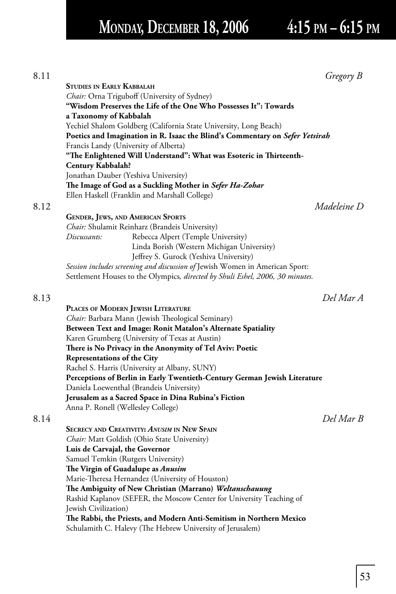## **MONDAY, DECEMBER 18, 2006 4:15 PM – 6:15 PM**

| 8.11 | Gregory B                                                                    |
|------|------------------------------------------------------------------------------|
|      | <b>STUDIES IN EARLY KABBALAH</b>                                             |
|      | Chair: Orna Triguboff (University of Sydney)                                 |
|      | "Wisdom Preserves the Life of the One Who Possesses It": Towards             |
|      | a Taxonomy of Kabbalah                                                       |
|      | Yechiel Shalom Goldberg (California State University, Long Beach)            |
|      | Poetics and Imagination in R. Isaac the Blind's Commentary on Sefer Yetsirah |
|      | Francis Landy (University of Alberta)                                        |
|      | "The Enlightened Will Understand": What was Esoteric in Thirteenth-          |
|      | <b>Century Kabbalah?</b>                                                     |
|      | Jonathan Dauber (Yeshiva University)                                         |
|      | The Image of God as a Suckling Mother in Sefer Ha-Zohar                      |
|      | Ellen Haskell (Franklin and Marshall College)                                |
| 8.12 | Madeleine D                                                                  |

**GENDER, JEWS, AND AMERICAN SPORTS** *Chair:* Shulamit Reinharz (Brandeis University) *Discussants:* Rebecca Alpert (Temple University) Linda Borish (Western Michigan University) Jeffrey S. Gurock (Yeshiva University)  *Session includes screening and discussion of* Jewish Women in American Sport: Settlement Houses to the Olympics*, directed by Shuli Eshel, 2006, 30 minutes.*

8.13 *Del Mar A*

|      | PLACES OF MODERN JEWISH LITERATURE                                        |           |
|------|---------------------------------------------------------------------------|-----------|
|      | Chair: Barbara Mann (Jewish Theological Seminary)                         |           |
|      | Between Text and Image: Ronit Matalon's Alternate Spatiality              |           |
|      | Karen Grumberg (University of Texas at Austin)                            |           |
|      | There is No Privacy in the Anonymity of Tel Aviv: Poetic                  |           |
|      | Representations of the City                                               |           |
|      | Rachel S. Harris (University at Albany, SUNY)                             |           |
|      | Perceptions of Berlin in Early Twentieth-Century German Jewish Literature |           |
|      | Daniela Loewenthal (Brandeis University)                                  |           |
|      | Jerusalem as a Sacred Space in Dina Rubina's Fiction                      |           |
|      | Anna P. Ronell (Wellesley College)                                        |           |
| 8.14 |                                                                           | Del Mar B |
|      |                                                                           |           |

 **SECRECY AND CREATIVITY:** *ANUSIM* **IN NEW SPAIN** *Chair:* Matt Goldish (Ohio State University)  **Luis de Carvajal, the Governor** Samuel Temkin (Rutgers University) **The Virgin of Guadalupe as Anusim** Marie-Theresa Hernandez (University of Houston) **The Ambiguity of New Christian (Marrano)** Weltanschauung Rashid Kaplanov (SEFER, the Moscow Center for University Teaching of Jewish Civilization) The Rabbi, the Priests, and Modern Anti-Semitism in Northern Mexico Schulamith C. Halevy (The Hebrew University of Jerusalem)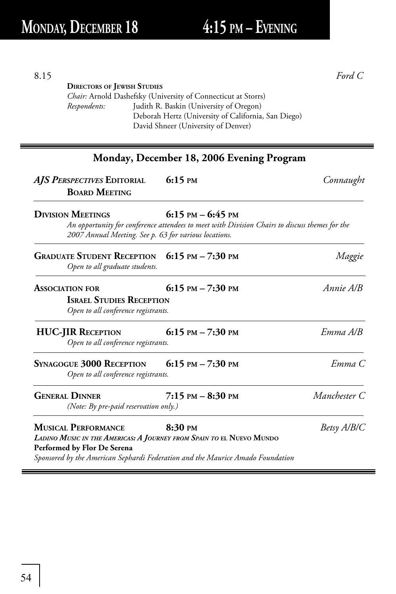**DIRECTORS OF JEWISH STUDIES**

*Chair:* Arnold Dashefsky (University of Connecticut at Storrs) *Respondents:* Judith R. Baskin (University of Oregon)

Deborah Hertz (University of California, San Diego)

|                                                                                                                                                                                                                     | Monday, December 18, 2006 Evening Program                                                                              |              |
|---------------------------------------------------------------------------------------------------------------------------------------------------------------------------------------------------------------------|------------------------------------------------------------------------------------------------------------------------|--------------|
| AJS PERSPECTIVES EDITORIAL<br><b>BOARD MEETING</b>                                                                                                                                                                  | $6:15 \text{ }^{\text{PM}}$                                                                                            | Connaught    |
| <b>DIVISION MEETINGS</b><br>2007 Annual Meeting. See p. 63 for various locations.                                                                                                                                   | $6:15$ PM $-6:45$ PM<br>An opportunity for conference attendees to meet with Division Chairs to discuss themes for the |              |
| GRADUATE STUDENT RECEPTION 6:15 PM - 7:30 PM<br>Open to all graduate students.                                                                                                                                      |                                                                                                                        | Maggie       |
| <b>ASSOCIATION FOR</b><br><b>ISRAEL STUDIES RECEPTION</b><br>Open to all conference registrants.                                                                                                                    | 6:15 PM $- 7:30$ PM                                                                                                    | Annie A/B    |
| <b>HUC-JIR RECEPTION</b><br>Open to all conference registrants.                                                                                                                                                     | 6:15 PM $- 7:30$ PM                                                                                                    | Emma A/B     |
| <b>S</b> YNAGOGUE 3000 RECEPTION<br>Open to all conference registrants.                                                                                                                                             | 6:15 PM $- 7:30$ PM                                                                                                    | Emma C       |
| <b>GENERAL DINNER</b><br>(Note: By pre-paid reservation only.)                                                                                                                                                      | $7:15$ PM $-8:30$ PM                                                                                                   | Manchester C |
| <b>MUSICAL PERFORMANCE</b><br>LADINO MUSIC IN THE AMERICAS: A JOURNEY FROM SPAIN TO EL NUEVO MUNDO<br>Performed by Flor De Serena<br>Sponsored by the American Sephardi Federation and the Maurice Amado Foundation | $8:30 \text{ }$ PM                                                                                                     | Betsy A/B/C  |

8.15 *Ford C*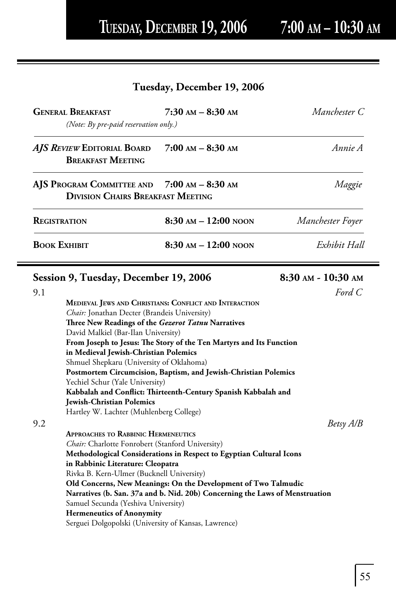## **Tuesday, December 19, 2006**

|                     | <b>GENERAL BREAKFAST</b><br>(Note: By pre-paid reservation only.)                       | $7:30$ AM $-$ 8:30 AM                                                        | Manchester C       |
|---------------------|-----------------------------------------------------------------------------------------|------------------------------------------------------------------------------|--------------------|
|                     | AJS REVIEW EDITORIAL BOARD<br><b>BREAKFAST MEETING</b>                                  | $7:00$ AM $-$ 8:30 AM                                                        | Annie A            |
|                     | AJS PROGRAM COMMITTEE AND 7:00 AM - 8:30 AM<br><b>DIVISION CHAIRS BREAKFAST MEETING</b> |                                                                              | Maggie             |
| <b>REGISTRATION</b> |                                                                                         | $8:30$ AM $- 12:00$ NOON                                                     | Manchester Foyer   |
| Воок Ехнівіт        |                                                                                         | $8:30$ AM $-12:00$ NOON                                                      | Exhibit Hall       |
|                     | Session 9, Tuesday, December 19, 2006                                                   |                                                                              | 8:30 AM - 10:30 AM |
| 9.1                 |                                                                                         |                                                                              | Ford C             |
|                     |                                                                                         | MEDIEVAL JEWS AND CHRISTIANS: CONFLICT AND INTERACTION                       |                    |
|                     | Chair: Jonathan Decter (Brandeis University)                                            |                                                                              |                    |
|                     | Three New Readings of the Gezerot Tatnu Narratives                                      |                                                                              |                    |
|                     | David Malkiel (Bar-Ilan University)                                                     |                                                                              |                    |
|                     |                                                                                         | From Joseph to Jesus: The Story of the Ten Martyrs and Its Function          |                    |
|                     | in Medieval Jewish-Christian Polemics                                                   |                                                                              |                    |
|                     | Shmuel Shepkaru (University of Oklahoma)                                                |                                                                              |                    |
|                     |                                                                                         | Postmortem Circumcision, Baptism, and Jewish-Christian Polemics              |                    |
|                     | Yechiel Schur (Yale University)                                                         | Kabbalah and Conflict: Thirteenth-Century Spanish Kabbalah and               |                    |
|                     | Jewish-Christian Polemics                                                               |                                                                              |                    |
|                     | Hartley W. Lachter (Muhlenberg College)                                                 |                                                                              |                    |
| 9.2                 |                                                                                         |                                                                              | Betsy A/B          |
|                     | <b>APPROACHES TO RABBINIC HERMENEUTICS</b>                                              |                                                                              |                    |
|                     | Chair: Charlotte Fonrobert (Stanford University)                                        |                                                                              |                    |
|                     |                                                                                         | Methodological Considerations in Respect to Egyptian Cultural Icons          |                    |
|                     | in Rabbinic Literature: Cleopatra                                                       |                                                                              |                    |
|                     | Rivka B. Kern-Ulmer (Bucknell University)                                               |                                                                              |                    |
|                     |                                                                                         | Old Concerns, New Meanings: On the Development of Two Talmudic               |                    |
|                     |                                                                                         | Narratives (b. San. 37a and b. Nid. 20b) Concerning the Laws of Menstruation |                    |
|                     | Samuel Secunda (Yeshiva University)                                                     |                                                                              |                    |
|                     | <b>Hermeneutics of Anonymity</b>                                                        |                                                                              |                    |
|                     | Serguei Dolgopolski (University of Kansas, Lawrence)                                    |                                                                              |                    |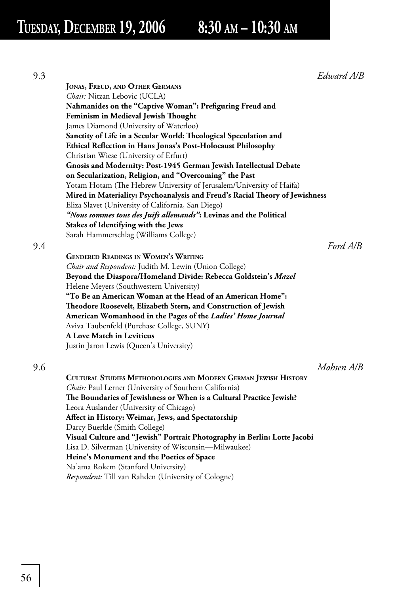9.3 *Edward A/B*

|     | <b>JONAS, FREUD, AND OTHER GERMANS</b>                                       |
|-----|------------------------------------------------------------------------------|
|     | Chair: Nitzan Lebovic (UCLA)                                                 |
|     | Nahmanides on the "Captive Woman": Prefiguring Freud and                     |
|     | Feminism in Medieval Jewish Thought                                          |
|     | James Diamond (University of Waterloo)                                       |
|     | Sanctity of Life in a Secular World: Theological Speculation and             |
|     | Ethical Reflection in Hans Jonas's Post-Holocaust Philosophy                 |
|     | Christian Wiese (University of Erfurt)                                       |
|     | Gnosis and Modernity: Post-1945 German Jewish Intellectual Debate            |
|     | on Secularization, Religion, and "Overcoming" the Past                       |
|     | Yotam Hotam (The Hebrew University of Jerusalem/University of Haifa)         |
|     | Mired in Materiality: Psychoanalysis and Freud's Racial Theory of Jewishness |
|     | Eliza Slavet (University of California, San Diego)                           |
|     | "Nous sommes tous des Juifs allemands": Levinas and the Political            |
|     | Stakes of Identifying with the Jews                                          |
|     | Sarah Hammerschlag (Williams College)                                        |
| 9.4 | Ford A/B                                                                     |
|     | <b>GENDERED READINGS IN WOMEN'S WRITING</b>                                  |
|     | Chair and Respondent: Judith M. Lewin (Union College)                        |
|     | Beyond the Diaspora/Homeland Divide: Rebecca Goldstein's Mazel               |
|     | Helene Meyers (Southwestern University)                                      |
|     | "To Be an American Woman at the Head of an American Home":                   |
|     | Theodore Roosevelt, Elizabeth Stern, and Construction of Jewish              |
|     | American Womanhood in the Pages of the <i>Ladies' Home Journal</i>           |
|     | Aviva Taubenfeld (Purchase College, SUNY)                                    |
|     | <b>A Love Match in Leviticus</b>                                             |
|     | Justin Jaron Lewis (Queen's University)                                      |
|     |                                                                              |

9.6 *Mohsen A/B*

 **CULTURAL STUDIES METHODOLOGIES AND MODERN GERMAN JEWISH HISTORY** *Chair:* Paul Lerner (University of Southern California) The Boundaries of Jewishness or When is a Cultural Practice Jewish? Leora Auslander (University of Chicago) Affect in History: Weimar, Jews, and Spectatorship Darcy Buerkle (Smith College)  **Visual Culture and "Jewish" Portrait Photography in Berlin: Lotte Jacobi** Lisa D. Silverman (University of Wisconsin—Milwaukee)  **Heine's Monument and the Poetics of Space** Na'ama Rokem (Stanford University) *Respondent:* Till van Rahden (University of Cologne)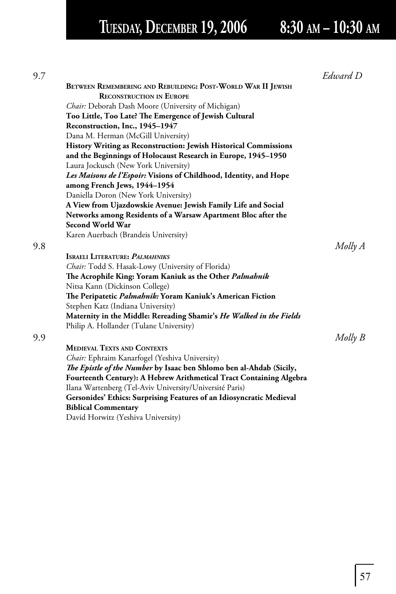# **TUESDAY, DECEMBER 19, 2006 8:30 AM – 10:30 AM**

|                                                                         | Edward D |
|-------------------------------------------------------------------------|----------|
| BETWEEN REMEMBERING AND REBUILDING: POST-WORLD WAR II JEWISH            |          |
| <b>RECONSTRUCTION IN EUROPE</b>                                         |          |
| Chair: Deborah Dash Moore (University of Michigan)                      |          |
| Too Little, Too Late? The Emergence of Jewish Cultural                  |          |
| Reconstruction, Inc., 1945-1947                                         |          |
| Dana M. Herman (McGill University)                                      |          |
| <b>History Writing as Reconstruction: Jewish Historical Commissions</b> |          |
| and the Beginnings of Holocaust Research in Europe, 1945-1950           |          |
| Laura Jockusch (New York University)                                    |          |
| Les Maisons de l'Espoir: Visions of Childhood, Identity, and Hope       |          |
| among French Jews, 1944-1954                                            |          |
| Daniella Doron (New York University)                                    |          |
| A View from Ujazdowskie Avenue: Jewish Family Life and Social           |          |
| Networks among Residents of a Warsaw Apartment Bloc after the           |          |
| Second World War                                                        |          |
| Karen Auerbach (Brandeis University)                                    |          |
|                                                                         | Molly A  |
| <b>ISRAELI LITERATURE: PALMAHNIKS</b>                                   |          |
| Chair: Todd S. Hasak-Lowy (University of Florida)                       |          |
| The Acrophile King: Yoram Kaniuk as the Other Palmahnik                 |          |
| Nitsa Kann (Dickinson College)                                          |          |
| The Peripatetic Palmahnik: Yoram Kaniuk's American Fiction              |          |
| Stephen Katz (Indiana University)                                       |          |
| Maternity in the Middle: Rereading Shamir's He Walked in the Fields     |          |
| Philip A. Hollander (Tulane University)                                 |          |
|                                                                         | Molly B  |
| <b>MEDIEVAL TEXTS AND CONTEXTS</b>                                      |          |
| Chair: Ephraim Kanarfogel (Yeshiva University)                          |          |
| The Epistle of the Number by Isaac ben Shlomo ben al-Ahdab (Sicily,     |          |
| Fourteenth Century): A Hebrew Arithmetical Tract Containing Algebra     |          |
| Ilana Wartenberg (Tel-Aviv University/Université Paris)                 |          |
| Gersonides' Ethics: Surprising Features of an Idiosyncratic Medieval    |          |
| <b>Biblical Commentary</b>                                              |          |
| David Horwitz (Yeshiva University)                                      |          |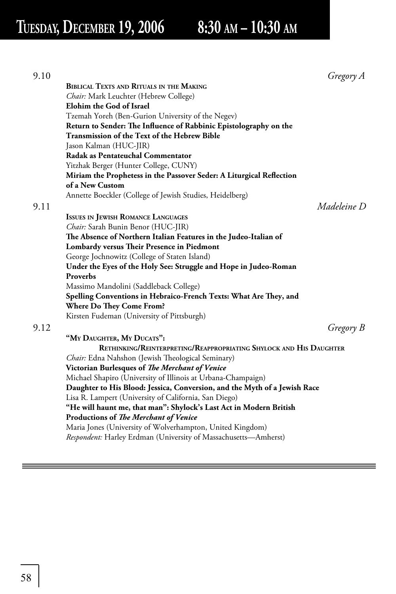**TUESDAY, DECEMBER 19, 2006 8:30 AM – 10:30 AM**

| 9.10 | Gregory A                                                                                     |
|------|-----------------------------------------------------------------------------------------------|
|      | <b>BIBLICAL TEXTS AND RITUALS IN THE MAKING</b>                                               |
|      | <i>Chair:</i> Mark Leuchter (Hebrew College)                                                  |
|      | Elohim the God of Israel                                                                      |
|      | Tzemah Yoreh (Ben-Gurion University of the Negev)                                             |
|      | Return to Sender: The Influence of Rabbinic Epistolography on the                             |
|      | Transmission of the Text of the Hebrew Bible                                                  |
|      | Jason Kalman (HUC-JIR)                                                                        |
|      | Radak as Pentateuchal Commentator                                                             |
|      | Yitzhak Berger (Hunter College, CUNY)                                                         |
|      | Miriam the Prophetess in the Passover Seder: A Liturgical Reflection                          |
|      | of a New Custom                                                                               |
|      | Annette Boeckler (College of Jewish Studies, Heidelberg)                                      |
| 9.11 | Madeleine D                                                                                   |
|      | <b>ISSUES IN JEWISH ROMANCE LANGUAGES</b>                                                     |
|      | Chair: Sarah Bunin Benor (HUC-JIR)                                                            |
|      | The Absence of Northern Italian Features in the Judeo-Italian of                              |
|      | Lombardy versus Their Presence in Piedmont                                                    |
|      | George Jochnowitz (College of Staten Island)                                                  |
|      | Under the Eyes of the Holy See: Struggle and Hope in Judeo-Roman                              |
|      | Proverbs                                                                                      |
|      | Massimo Mandolini (Saddleback College)                                                        |
|      |                                                                                               |
|      | Spelling Conventions in Hebraico-French Texts: What Are They, and<br>Where Do They Come From? |
|      |                                                                                               |
|      | Kirsten Fudeman (University of Pittsburgh)                                                    |
|      | Gregory B                                                                                     |
|      | "MY DAUGHTER, MY DUCATS":                                                                     |
|      | RETHINKING/REINTERPRETING/REAPPROPRIATING SHYLOCK AND HIS DAUGHTER                            |
|      | Chair: Edna Nahshon (Jewish Theological Seminary)                                             |
|      | Victorian Burlesques of The Merchant of Venice                                                |
|      | Michael Shapiro (University of Illinois at Urbana-Champaign)                                  |
|      | Daughter to His Blood: Jessica, Conversion, and the Myth of a Jewish Race                     |
|      | Lisa R. Lampert (University of California, San Diego)                                         |
|      | "He will haunt me, that man": Shylock's Last Act in Modern British                            |
|      | Productions of The Merchant of Venice                                                         |
|      | Maria Jones (University of Wolverhampton, United Kingdom)                                     |
|      | Respondent: Harley Erdman (University of Massachusetts-Amherst)                               |
|      |                                                                                               |

=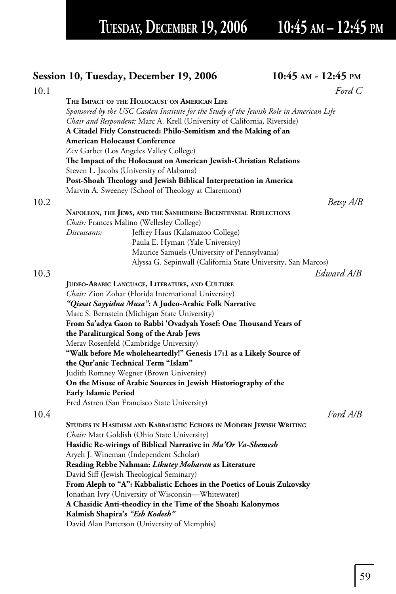TUESDAY, DECEMBER 19, 2006 10:45 AM - 12:45 PM

|      | <b>Session 10, Tuesday, December 19, 2006</b>                                                   | 10:45 AM - 12:45 PM |
|------|-------------------------------------------------------------------------------------------------|---------------------|
| 10.1 |                                                                                                 | Ford $C$            |
|      | THE IMPACT OF THE HOLOCAUST ON AMERICAN LIFE                                                    |                     |
|      | Sponsored by the USC Casden Institute for the Study of the Jewish Role in American Life         |                     |
|      | Chair and Respondent: Marc A. Krell (University of California, Riverside)                       |                     |
|      | A Citadel Fitly Constructed: Philo-Semitism and the Making of an                                |                     |
|      | <b>American Holocaust Conference</b>                                                            |                     |
|      | Zev Garber (Los Angeles Valley College)                                                         |                     |
|      | The Impact of the Holocaust on American Jewish-Christian Relations                              |                     |
|      | Steven L. Jacobs (University of Alabama)                                                        |                     |
|      | Post-Shoah Theology and Jewish Biblical Interpretation in America                               |                     |
|      | Marvin A. Sweeney (School of Theology at Claremont)                                             |                     |
| 10.2 |                                                                                                 | Betsy A/B           |
|      | NAPOLEON, THE JEWS, AND THE SANHEDRIN: BICENTENNIAL REFLECTIONS                                 |                     |
|      | Chair: Frances Malino (Wellesley College)                                                       |                     |
|      | Jeffrey Haus (Kalamazoo College)<br>Discussants:                                                |                     |
|      | Paula E. Hyman (Yale University)                                                                |                     |
|      | Maurice Samuels (University of Pennsylvania)                                                    |                     |
|      | Alyssa G. Sepinwall (California State University, San Marcos)                                   |                     |
| 10.3 |                                                                                                 | Edward A/B          |
|      | JUDEO-ARABIC LANGUAGE, LITERATURE, AND CULTURE                                                  |                     |
|      | Chair: Zion Zohar (Florida International University)                                            |                     |
|      | "Qissat Sayyidna Musa": A Judeo-Arabic Folk Narrative                                           |                     |
|      | Marc S. Bernstein (Michigan State University)                                                   |                     |
|      | From Sa'adya Gaon to Rabbi 'Ovadyah Yosef: One Thousand Years of                                |                     |
|      | the Paraliturgical Song of the Arab Jews                                                        |                     |
|      | Merav Rosenfeld (Cambridge University)                                                          |                     |
|      | "Walk before Me wholeheartedly!" Genesis 17:1 as a Likely Source of                             |                     |
|      | the Qur'anic Technical Term "Islam"                                                             |                     |
|      | Judith Romney Wegner (Brown University)                                                         |                     |
|      | On the Misuse of Arabic Sources in Jewish Historiography of the                                 |                     |
|      | <b>Early Islamic Period</b>                                                                     |                     |
|      | Fred Astren (San Francisco State University)                                                    |                     |
| 10.4 |                                                                                                 | Ford A/B            |
|      | STUDIES IN HASIDISM AND KABBALISTIC ECHOES IN MODERN JEWISH WRITING                             |                     |
|      | <i>Chair:</i> Matt Goldish (Ohio State University)                                              |                     |
|      | Hasidic Re-wirings of Biblical Narrative in <i>Ma'Or Va-Shemesh</i>                             |                     |
|      | Aryeh J. Wineman (Independent Scholar)                                                          |                     |
|      | Reading Rebbe Nahman: Likutey Moharan as Literature<br>David Siff (Jewish Theological Seminary) |                     |
|      | From Aleph to "A": Kabbalistic Echoes in the Poetics of Louis Zukovsky                          |                     |
|      | Jonathan Ivry (University of Wisconsin-Whitewater)                                              |                     |
|      | A Chasidic Anti-theodicy in the Time of the Shoah: Kalonymos                                    |                     |
|      | Kalmish Shapira's "Esh Kodesh"                                                                  |                     |
|      | David Alan Patterson (University of Memphis)                                                    |                     |
|      |                                                                                                 |                     |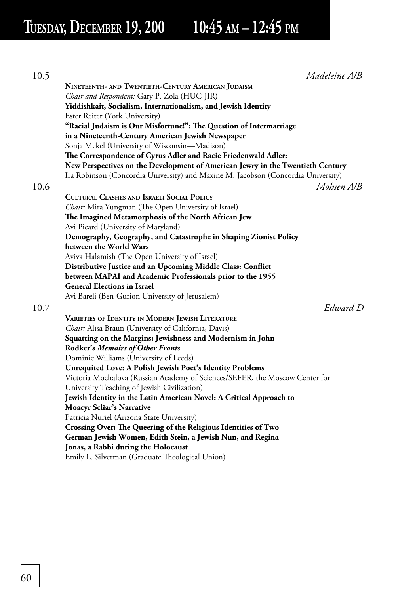**TUESDAY, DECEMBER 19, 200 10:45 AM – 12:45 PM**

| 10.5 | Madeleine A/B                                                                     |
|------|-----------------------------------------------------------------------------------|
|      | NINETEENTH- AND TWENTIETH-CENTURY AMERICAN JUDAISM                                |
|      | Chair and Respondent: Gary P. Zola (HUC-JIR)                                      |
|      | Yiddishkait, Socialism, Internationalism, and Jewish Identity                     |
|      | Ester Reiter (York University)                                                    |
|      | "Racial Judaism is Our Misfortune!": The Question of Intermarriage                |
|      | in a Nineteenth-Century American Jewish Newspaper                                 |
|      | Sonja Mekel (University of Wisconsin—Madison)                                     |
|      | The Correspondence of Cyrus Adler and Racie Friedenwald Adler:                    |
|      | New Perspectives on the Development of American Jewry in the Twentieth Century    |
|      | Ira Robinson (Concordia University) and Maxine M. Jacobson (Concordia University) |
| 10.6 | Mohsen A/B                                                                        |
|      | <b>CULTURAL CLASHES AND ISRAELI SOCIAL POLICY</b>                                 |
|      | Chair: Mira Yungman (The Open University of Israel)                               |
|      | The Imagined Metamorphosis of the North African Jew                               |
|      | Avi Picard (University of Maryland)                                               |
|      | Demography, Geography, and Catastrophe in Shaping Zionist Policy                  |
|      | between the World Wars                                                            |
|      | Aviva Halamish (The Open University of Israel)                                    |
|      | Distributive Justice and an Upcoming Middle Class: Conflict                       |
|      | between MAPAI and Academic Professionals prior to the 1955                        |
|      | General Elections in Israel                                                       |
|      | Avi Bareli (Ben-Gurion University of Jerusalem)                                   |
| 10.7 | Edward D                                                                          |
|      | VARIETIES OF IDENTITY IN MODERN JEWISH LITERATURE                                 |
|      | Chair: Alisa Braun (University of California, Davis)                              |
|      | Squatting on the Margins: Jewishness and Modernism in John                        |
|      | Rodker's Memoirs of Other Fronts                                                  |
|      | Dominic Williams (University of Leeds)                                            |
|      | Unrequited Love: A Polish Jewish Poet's Identity Problems                         |
|      | Victoria Mochalova (Russian Academy of Sciences/SEFER, the Moscow Center for      |
|      | University Teaching of Jewish Civilization)                                       |
|      | Jewish Identity in the Latin American Novel: A Critical Approach to               |
|      | <b>Moacyr Scliar's Narrative</b>                                                  |
|      | Patricia Nuriel (Arizona State University)                                        |
|      | Crossing Over: The Queering of the Religious Identities of Two                    |
|      | German Jewish Women, Edith Stein, a Jewish Nun, and Regina                        |
|      | Jonas, a Rabbi during the Holocaust                                               |
|      | Emily L. Silverman (Graduate Theological Union)                                   |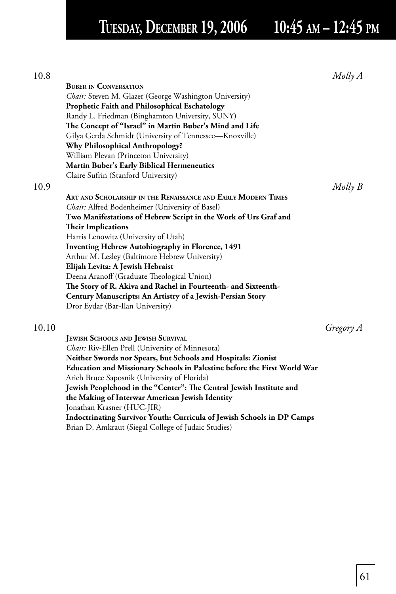# **TUESDAY, DECEMBER 19, 2006 10:45 AM – 12:45 PM**

| 10.8  |                                                                          | $Molly$ $A$ |
|-------|--------------------------------------------------------------------------|-------------|
|       | <b>BUBER IN CONVERSATION</b>                                             |             |
|       | Chair: Steven M. Glazer (George Washington University)                   |             |
|       | Prophetic Faith and Philosophical Eschatology                            |             |
|       | Randy L. Friedman (Binghamton University, SUNY)                          |             |
|       | The Concept of "Israel" in Martin Buber's Mind and Life                  |             |
|       | Gilya Gerda Schmidt (University of Tennessee-Knoxville)                  |             |
|       | <b>Why Philosophical Anthropology?</b>                                   |             |
|       | William Plevan (Princeton University)                                    |             |
|       | <b>Martin Buber's Early Biblical Hermeneutics</b>                        |             |
|       | Claire Sufrin (Stanford University)                                      |             |
| 10.9  |                                                                          | $Molly$ $B$ |
|       | ART AND SCHOLARSHIP IN THE RENAISSANCE AND EARLY MODERN TIMES            |             |
|       | <i>Chair:</i> Alfred Bodenheimer (University of Basel)                   |             |
|       | Two Manifestations of Hebrew Script in the Work of Urs Graf and          |             |
|       | <b>Their Implications</b>                                                |             |
|       | Harris Lenowitz (University of Utah)                                     |             |
|       | <b>Inventing Hebrew Autobiography in Florence, 1491</b>                  |             |
|       | Arthur M. Lesley (Baltimore Hebrew University)                           |             |
|       | Elijah Levita: A Jewish Hebraist                                         |             |
|       | Deena Aranoff (Graduate Theological Union)                               |             |
|       | The Story of R. Akiva and Rachel in Fourteenth- and Sixteenth-           |             |
|       | Century Manuscripts: An Artistry of a Jewish-Persian Story               |             |
|       | Dror Eydar (Bar-Ilan University)                                         |             |
|       |                                                                          |             |
| 10.10 |                                                                          | Gregory A   |
|       | <b>JEWISH SCHOOLS AND JEWISH SURVIVAL</b>                                |             |
|       | Chair: Riv-Ellen Prell (University of Minnesota)                         |             |
|       | Neither Swords nor Spears, but Schools and Hospitals: Zionist            |             |
|       | Education and Missionary Schools in Palestine before the First World War |             |
|       | Arieh Bruce Saposnik (University of Florida)                             |             |
|       | Jewish Peoplehood in the "Center": The Central Jewish Institute and      |             |
|       | the Making of Interwar American Jewish Identity                          |             |
|       | Jonathan Krasner (HUC-JIR)                                               |             |
|       | Indoctrinating Survivor Youth: Curricula of Jewish Schools in DP Camps   |             |
|       |                                                                          |             |

Brian D. Amkraut (Siegal College of Judaic Studies)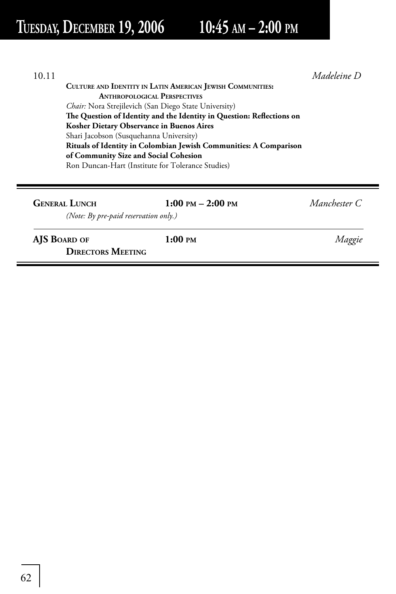# **TUESDAY, DECEMBER 19, 2006 10:45 AM – 2:00 PM**

| 10.11                                 |                                                                                                                    | Madeleine D   |  |  |
|---------------------------------------|--------------------------------------------------------------------------------------------------------------------|---------------|--|--|
|                                       | CULTURE AND IDENTITY IN LATIN AMERICAN JEWISH COMMUNITIES:                                                         |               |  |  |
|                                       | <b>ANTHROPOLOGICAL PERSPECTIVES</b>                                                                                |               |  |  |
|                                       | Chair: Nora Strejilevich (San Diego State University)                                                              |               |  |  |
|                                       | The Question of Identity and the Identity in Question: Reflections on<br>Kosher Dietary Observance in Buenos Aires |               |  |  |
|                                       |                                                                                                                    |               |  |  |
|                                       | Shari Jacobson (Susquehanna University)                                                                            |               |  |  |
|                                       | Rituals of Identity in Colombian Jewish Communities: A Comparison                                                  |               |  |  |
| of Community Size and Social Cohesion |                                                                                                                    |               |  |  |
|                                       | Ron Duncan-Hart (Institute for Tolerance Studies)                                                                  |               |  |  |
|                                       |                                                                                                                    |               |  |  |
|                                       |                                                                                                                    |               |  |  |
| <b>GENERAL LUNCH</b>                  | $1:00 \text{ PM} - 2:00 \text{ PM}$                                                                                | Manchester C. |  |  |
|                                       | (Note: By pre-paid reservation only.)                                                                              |               |  |  |
| AIS BOARD OF                          | $1:00 \text{ }\mathsf{PM}$                                                                                         | Maggie        |  |  |